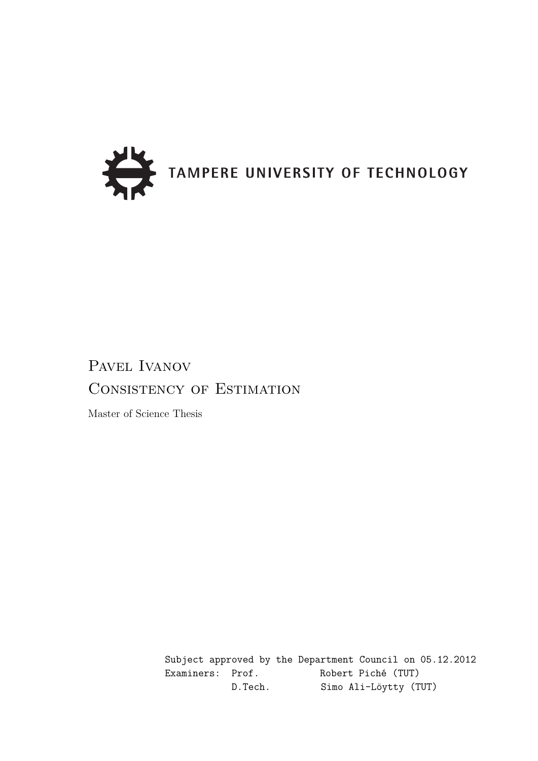

## PAVEL IVANOV Consistency of Estimation

Master of Science Thesis

Subject approved by the Department Council on 05.12.2012 Examiners: Prof. Robert Piché (TUT) D.Tech. Simo Ali-Löytty (TUT)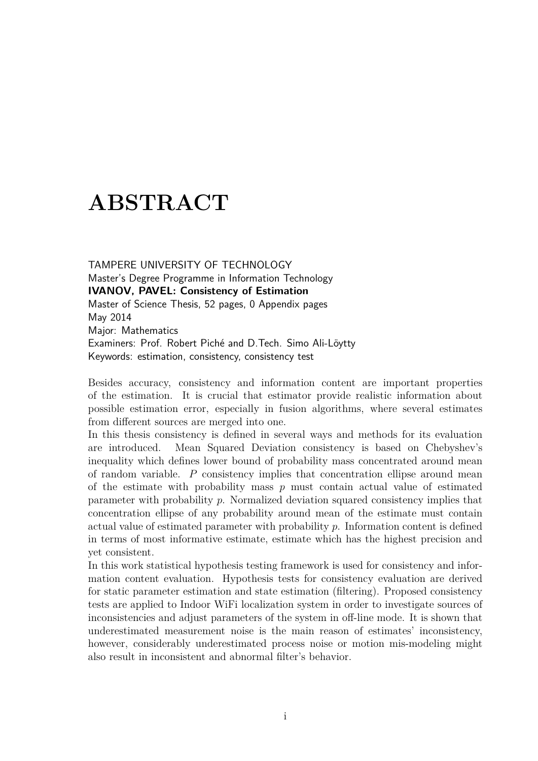## **ABSTRACT**

TAMPERE UNIVERSITY OF TECHNOLOGY Master's Degree Programme in Information Technology **IVANOV, PAVEL: Consistency of Estimation** Master of Science Thesis, 52 pages, 0 Appendix pages May 2014 Major: Mathematics Examiners: Prof. Robert Piché and D.Tech. Simo Ali-Löytty Keywords: estimation, consistency, consistency test

Besides accuracy, consistency and information content are important properties of the estimation. It is crucial that estimator provide realistic information about possible estimation error, especially in fusion algorithms, where several estimates from different sources are merged into one.

In this thesis consistency is defined in several ways and methods for its evaluation are introduced. Mean Squared Deviation consistency is based on Chebyshev's inequality which defines lower bound of probability mass concentrated around mean of random variable. *P* consistency implies that concentration ellipse around mean of the estimate with probability mass *p* must contain actual value of estimated parameter with probability *p*. Normalized deviation squared consistency implies that concentration ellipse of any probability around mean of the estimate must contain actual value of estimated parameter with probability *p*. Information content is defined in terms of most informative estimate, estimate which has the highest precision and yet consistent.

In this work statistical hypothesis testing framework is used for consistency and information content evaluation. Hypothesis tests for consistency evaluation are derived for static parameter estimation and state estimation (filtering). Proposed consistency tests are applied to Indoor WiFi localization system in order to investigate sources of inconsistencies and adjust parameters of the system in off-line mode. It is shown that underestimated measurement noise is the main reason of estimates' inconsistency, however, considerably underestimated process noise or motion mis-modeling might also result in inconsistent and abnormal filter's behavior.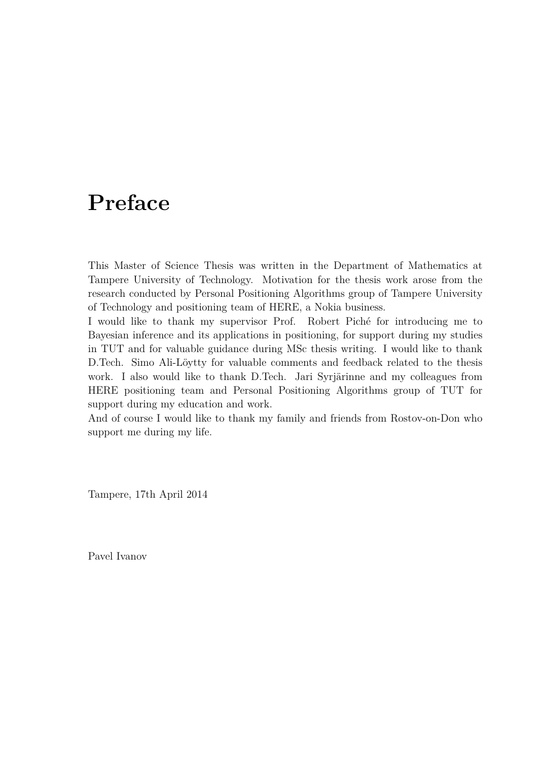## **Preface**

This Master of Science Thesis was written in the Department of Mathematics at Tampere University of Technology. Motivation for the thesis work arose from the research conducted by Personal Positioning Algorithms group of Tampere University of Technology and positioning team of HERE, a Nokia business.

I would like to thank my supervisor Prof. Robert Piché for introducing me to Bayesian inference and its applications in positioning, for support during my studies in TUT and for valuable guidance during MSc thesis writing. I would like to thank D.Tech. Simo Ali-Löytty for valuable comments and feedback related to the thesis work. I also would like to thank D.Tech. Jari Syrjärinne and my colleagues from HERE positioning team and Personal Positioning Algorithms group of TUT for support during my education and work.

And of course I would like to thank my family and friends from Rostov-on-Don who support me during my life.

Tampere, 17th April 2014

Pavel Ivanov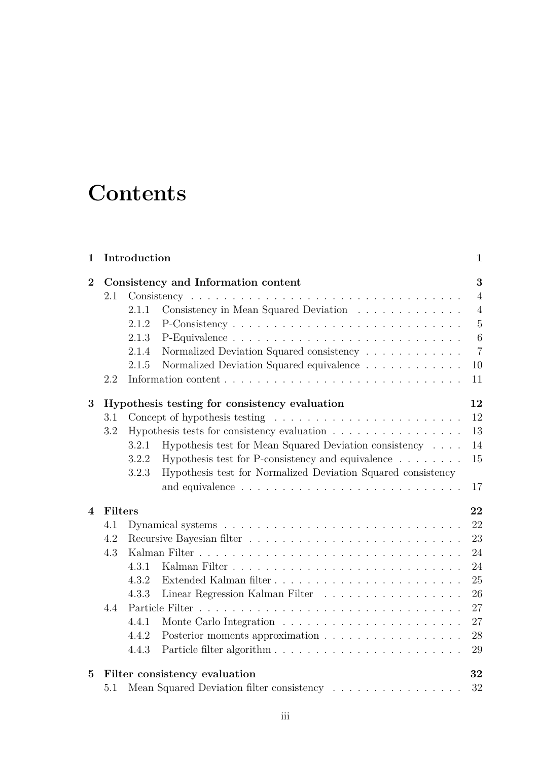# **Contents**

| $\mathbf{1}$   | Introduction |       |                                                                                                                                                                                                                                                  |                  |  |  |  |  |  |
|----------------|--------------|-------|--------------------------------------------------------------------------------------------------------------------------------------------------------------------------------------------------------------------------------------------------|------------------|--|--|--|--|--|
| $\mathbf{2}$   |              |       | Consistency and Information content                                                                                                                                                                                                              | 3                |  |  |  |  |  |
|                | 2.1          |       |                                                                                                                                                                                                                                                  | $\overline{4}$   |  |  |  |  |  |
|                |              | 2.1.1 | Consistency in Mean Squared Deviation                                                                                                                                                                                                            | $\overline{4}$   |  |  |  |  |  |
|                |              | 2.1.2 |                                                                                                                                                                                                                                                  | $\overline{5}$   |  |  |  |  |  |
|                |              | 2.1.3 |                                                                                                                                                                                                                                                  | $\boldsymbol{6}$ |  |  |  |  |  |
|                |              | 2.1.4 | Normalized Deviation Squared consistency                                                                                                                                                                                                         | $\overline{7}$   |  |  |  |  |  |
|                |              | 2.1.5 | Normalized Deviation Squared equivalence $\ldots \ldots \ldots \ldots$                                                                                                                                                                           | 10               |  |  |  |  |  |
|                | 2.2          |       |                                                                                                                                                                                                                                                  | 11               |  |  |  |  |  |
| 3              |              |       | Hypothesis testing for consistency evaluation                                                                                                                                                                                                    | 12               |  |  |  |  |  |
|                | 3.1          |       |                                                                                                                                                                                                                                                  | 12               |  |  |  |  |  |
|                | 3.2          |       | Hypothesis tests for consistency evaluation                                                                                                                                                                                                      | 13               |  |  |  |  |  |
|                |              | 3.2.1 | Hypothesis test for Mean Squared Deviation consistency                                                                                                                                                                                           | 14               |  |  |  |  |  |
|                |              | 3.2.2 | Hypothesis test for P-consistency and equivalence $\ldots \ldots$                                                                                                                                                                                | 15               |  |  |  |  |  |
|                |              | 3.2.3 | Hypothesis test for Normalized Deviation Squared consistency                                                                                                                                                                                     |                  |  |  |  |  |  |
|                |              |       |                                                                                                                                                                                                                                                  | 17               |  |  |  |  |  |
| $\overline{4}$ | Filters      |       |                                                                                                                                                                                                                                                  | 22               |  |  |  |  |  |
|                | 4.1          |       |                                                                                                                                                                                                                                                  | 22               |  |  |  |  |  |
|                | 4.2          |       |                                                                                                                                                                                                                                                  | 23               |  |  |  |  |  |
|                | 4.3          |       |                                                                                                                                                                                                                                                  | 24               |  |  |  |  |  |
|                |              | 4.3.1 |                                                                                                                                                                                                                                                  | 24               |  |  |  |  |  |
|                |              | 4.3.2 | Extended Kalman filter                                                                                                                                                                                                                           | 25               |  |  |  |  |  |
|                |              | 4.3.3 | Linear Regression Kalman Filter                                                                                                                                                                                                                  | 26               |  |  |  |  |  |
|                | 4.4          |       | Particle Filter<br>and a construction of the construction of the construction of the construction of the construction of the construction of the construction of the construction of the construction of the construction of the construction of | 27               |  |  |  |  |  |
|                |              | 4.4.1 |                                                                                                                                                                                                                                                  | 27               |  |  |  |  |  |
|                |              | 4.4.2 |                                                                                                                                                                                                                                                  | 28               |  |  |  |  |  |
|                |              | 4.4.3 |                                                                                                                                                                                                                                                  | 29               |  |  |  |  |  |
| 5              |              |       | Filter consistency evaluation                                                                                                                                                                                                                    | 32               |  |  |  |  |  |
|                | 5.1          |       | Mean Squared Deviation filter consistency $\hfill\ldots\ldots\ldots\ldots\ldots\ldots\ldots\ldots$                                                                                                                                               | 32               |  |  |  |  |  |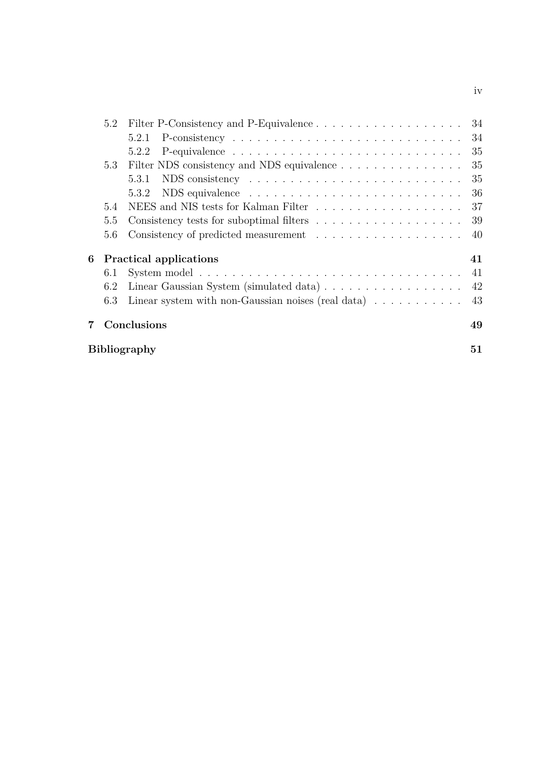|    | 5.2 |                                                                                  |     |
|----|-----|----------------------------------------------------------------------------------|-----|
|    |     | 5.2.1                                                                            | 34  |
|    |     | 5.2.2                                                                            | 35  |
|    | 5.3 |                                                                                  | 35  |
|    |     | 5.3.1                                                                            | 35  |
|    |     | 5.3.2                                                                            | 36  |
|    | 5.4 | NEES and NIS tests for Kalman Filter $\ldots \ldots \ldots \ldots \ldots \ldots$ | 37  |
|    | 5.5 |                                                                                  | 39  |
|    | 5.6 |                                                                                  | -40 |
| 6  |     | <b>Practical applications</b>                                                    | 41  |
|    | 6.1 |                                                                                  |     |
|    | 6.2 | Linear Gaussian System (simulated data) 42                                       |     |
|    | 6.3 | Linear system with non-Gaussian noises (real data) $\ldots \ldots \ldots$ 43     |     |
| 7. |     | Conclusions                                                                      | 49  |
|    |     | <b>Bibliography</b>                                                              | 51  |

iv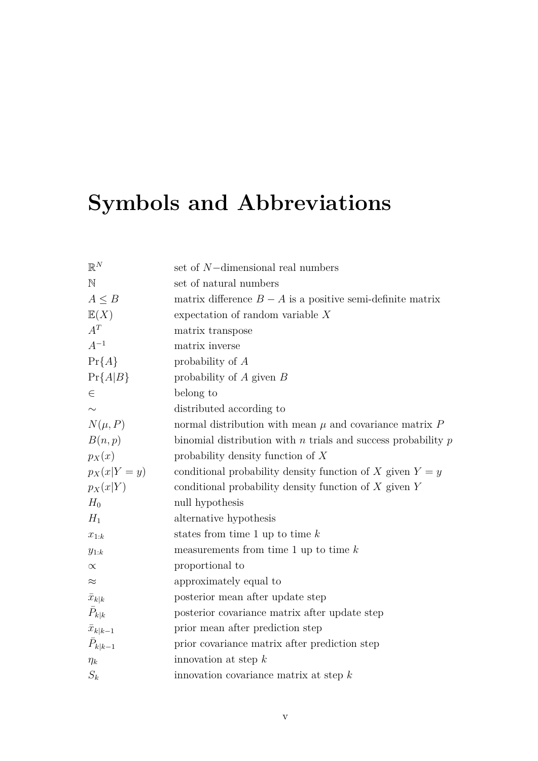# **Symbols and Abbreviations**

| $\mathbb{R}^N$    | set of $N$ -dimensional real numbers                              |
|-------------------|-------------------------------------------------------------------|
| $\mathbb N$       | set of natural numbers                                            |
| $A \leq B$        | matrix difference $B - A$ is a positive semi-definite matrix      |
| E(X)              | expectation of random variable $X$                                |
| $A^T$             | matrix transpose                                                  |
| $A^{-1}$          | matrix inverse                                                    |
| $Pr{A}$           | probability of $A$                                                |
| $Pr{A B}$         | probability of $A$ given $B$                                      |
| $\in$             | belong to                                                         |
|                   | distributed according to                                          |
| $N(\mu, P)$       | normal distribution with mean $\mu$ and covariance matrix $P$     |
| B(n,p)            | binomial distribution with $n$ trials and success probability $p$ |
| $p_X(x)$          | probability density function of $X$                               |
| $p_X(x Y=y)$      | conditional probability density function of X given $Y = y$       |
| $p_X(x Y)$        | conditional probability density function of $X$ given $Y$         |
| $H_0$             | null hypothesis                                                   |
| $H_1$             | alternative hypothesis                                            |
| $x_{1:k}$         | states from time 1 up to time $k$                                 |
| $y_{1:k}$         | measurements from time 1 up to time $k$                           |
| $\propto$         | proportional to                                                   |
| $\approx$         | approximately equal to                                            |
| $\bar{x}_{k k}$   | posterior mean after update step                                  |
| $\bar{P}_{k k}$   | posterior covariance matrix after update step                     |
| $\bar{x}_{k k-1}$ | prior mean after prediction step                                  |
| $\bar{P}_{k k-1}$ | prior covariance matrix after prediction step                     |
| $\eta_k$          | innovation at step $k$                                            |
| $S_k$             | innovation covariance matrix at step $k$                          |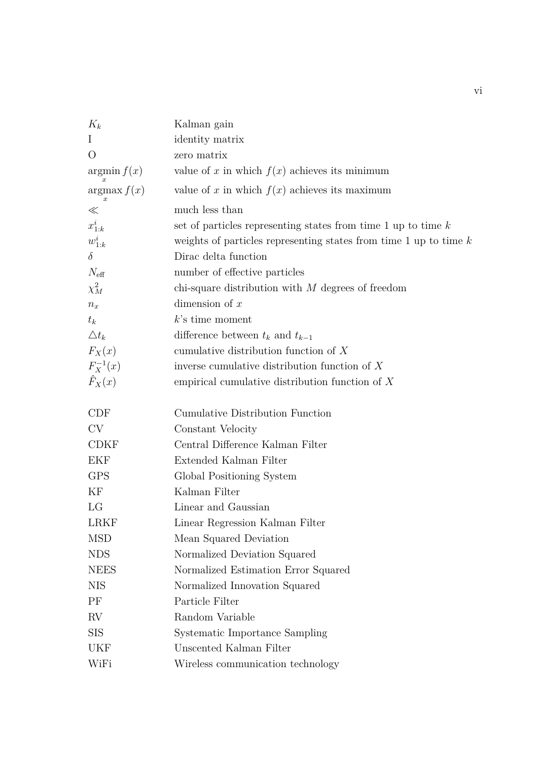| $K_k$            | Kalman gain                                                         |
|------------------|---------------------------------------------------------------------|
| $\bf{I}$         | identity matrix                                                     |
| $\Omega$         | zero matrix                                                         |
| argmin f(x)      | value of x in which $f(x)$ achieves its minimum                     |
| argmax f(x)      | value of x in which $f(x)$ achieves its maximum                     |
| $\ll$            | much less than                                                      |
| $x_{1:k}^i$      | set of particles representing states from time 1 up to time $k$     |
| $w_{1:k}^i$      | weights of particles representing states from time 1 up to time $k$ |
| $\delta$         | Dirac delta function                                                |
| $N_{\text{eff}}$ | number of effective particles                                       |
| $\chi^2_M$       | chi-square distribution with $M$ degrees of freedom                 |
| $n_x$            | dimension of $x$                                                    |
| $t_k$            | $k$ 's time moment                                                  |
| $\triangle t_k$  | difference between $t_k$ and $t_{k-1}$                              |
| $F_X(x)$         | cumulative distribution function of $X$                             |
| $F_X^{-1}(x)$    | inverse cumulative distribution function of $X$                     |
| $\hat{F}_X(x)$   | empirical cumulative distribution function of $X$                   |
| <b>CDF</b>       | Cumulative Distribution Function                                    |
| CV               | Constant Velocity                                                   |
| <b>CDKF</b>      | Central Difference Kalman Filter                                    |
| <b>EKF</b>       | Extended Kalman Filter                                              |
| <b>GPS</b>       | Global Positioning System                                           |
| KF               | Kalman Filter                                                       |
| LG               | Linear and Gaussian                                                 |
| <b>LRKF</b>      | Linear Regression Kalman Filter                                     |
| <b>MSD</b>       | Mean Squared Deviation                                              |
| <b>NDS</b>       | Normalized Deviation Squared                                        |
| <b>NEES</b>      | Normalized Estimation Error Squared                                 |
| <b>NIS</b>       | Normalized Innovation Squared                                       |
| PF               | Particle Filter                                                     |
| RV               | Random Variable                                                     |
| <b>SIS</b>       | Systematic Importance Sampling                                      |
| UKF              | Unscented Kalman Filter                                             |
| WiFi             | Wireless communication technology                                   |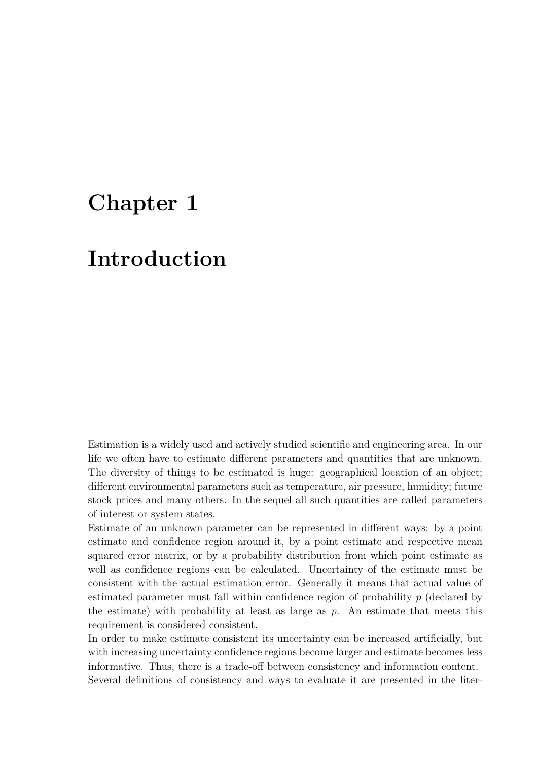## **Chapter 1**

## **Introduction**

Estimation is a widely used and actively studied scientific and engineering area. In our life we often have to estimate different parameters and quantities that are unknown. The diversity of things to be estimated is huge: geographical location of an object; different environmental parameters such as temperature, air pressure, humidity; future stock prices and many others. In the sequel all such quantities are called parameters of interest or system states.

Estimate of an unknown parameter can be represented in different ways: by a point estimate and confidence region around it, by a point estimate and respective mean squared error matrix, or by a probability distribution from which point estimate as well as confidence regions can be calculated. Uncertainty of the estimate must be consistent with the actual estimation error. Generally it means that actual value of estimated parameter must fall within confidence region of probability *p* (declared by the estimate) with probability at least as large as *p*. An estimate that meets this requirement is considered consistent.

In order to make estimate consistent its uncertainty can be increased artificially, but with increasing uncertainty confidence regions become larger and estimate becomes less informative. Thus, there is a trade-off between consistency and information content. Several definitions of consistency and ways to evaluate it are presented in the liter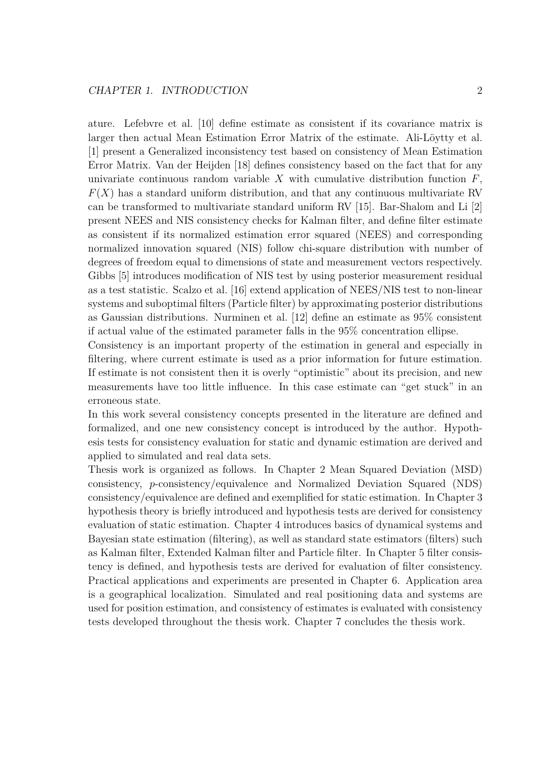ature. Lefebvre et al. [10] define estimate as consistent if its covariance matrix is larger then actual Mean Estimation Error Matrix of the estimate. Ali-Löytty et al. [1] present a Generalized inconsistency test based on consistency of Mean Estimation Error Matrix. Van der Heijden [18] defines consistency based on the fact that for any univariate continuous random variable  $X$  with cumulative distribution function  $F$ ,  $F(X)$  has a standard uniform distribution, and that any continuous multivariate RV can be transformed to multivariate standard uniform RV [15]. Bar-Shalom and Li [2] present NEES and NIS consistency checks for Kalman filter, and define filter estimate as consistent if its normalized estimation error squared (NEES) and corresponding normalized innovation squared (NIS) follow chi-square distribution with number of degrees of freedom equal to dimensions of state and measurement vectors respectively. Gibbs [5] introduces modification of NIS test by using posterior measurement residual as a test statistic. Scalzo et al. [16] extend application of NEES/NIS test to non-linear systems and suboptimal filters (Particle filter) by approximating posterior distributions as Gaussian distributions. Nurminen et al. [12] define an estimate as 95% consistent if actual value of the estimated parameter falls in the 95% concentration ellipse.

Consistency is an important property of the estimation in general and especially in filtering, where current estimate is used as a prior information for future estimation. If estimate is not consistent then it is overly "optimistic" about its precision, and new measurements have too little influence. In this case estimate can "get stuck" in an erroneous state.

In this work several consistency concepts presented in the literature are defined and formalized, and one new consistency concept is introduced by the author. Hypothesis tests for consistency evaluation for static and dynamic estimation are derived and applied to simulated and real data sets.

Thesis work is organized as follows. In Chapter 2 Mean Squared Deviation (MSD) consistency, *p*-consistency/equivalence and Normalized Deviation Squared (NDS) consistency/equivalence are defined and exemplified for static estimation. In Chapter 3 hypothesis theory is briefly introduced and hypothesis tests are derived for consistency evaluation of static estimation. Chapter 4 introduces basics of dynamical systems and Bayesian state estimation (filtering), as well as standard state estimators (filters) such as Kalman filter, Extended Kalman filter and Particle filter. In Chapter 5 filter consistency is defined, and hypothesis tests are derived for evaluation of filter consistency. Practical applications and experiments are presented in Chapter 6. Application area is a geographical localization. Simulated and real positioning data and systems are used for position estimation, and consistency of estimates is evaluated with consistency tests developed throughout the thesis work. Chapter 7 concludes the thesis work.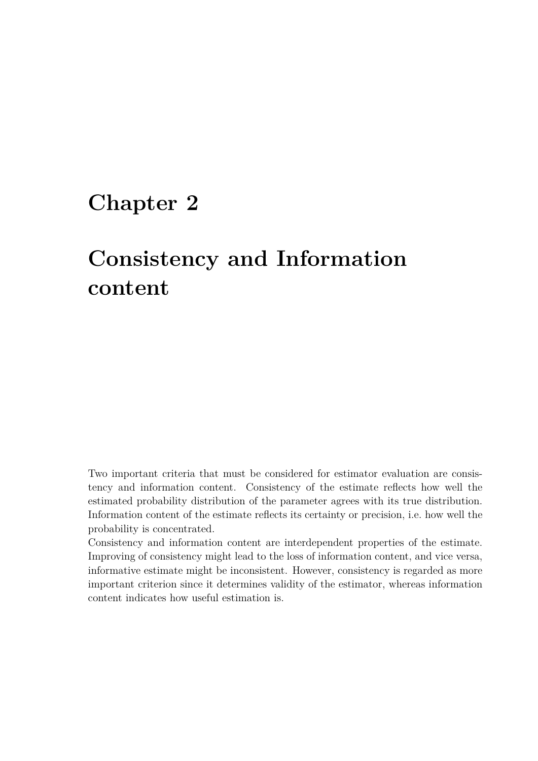## **Chapter 2**

# **Consistency and Information content**

Two important criteria that must be considered for estimator evaluation are consistency and information content. Consistency of the estimate reflects how well the estimated probability distribution of the parameter agrees with its true distribution. Information content of the estimate reflects its certainty or precision, i.e. how well the probability is concentrated.

Consistency and information content are interdependent properties of the estimate. Improving of consistency might lead to the loss of information content, and vice versa, informative estimate might be inconsistent. However, consistency is regarded as more important criterion since it determines validity of the estimator, whereas information content indicates how useful estimation is.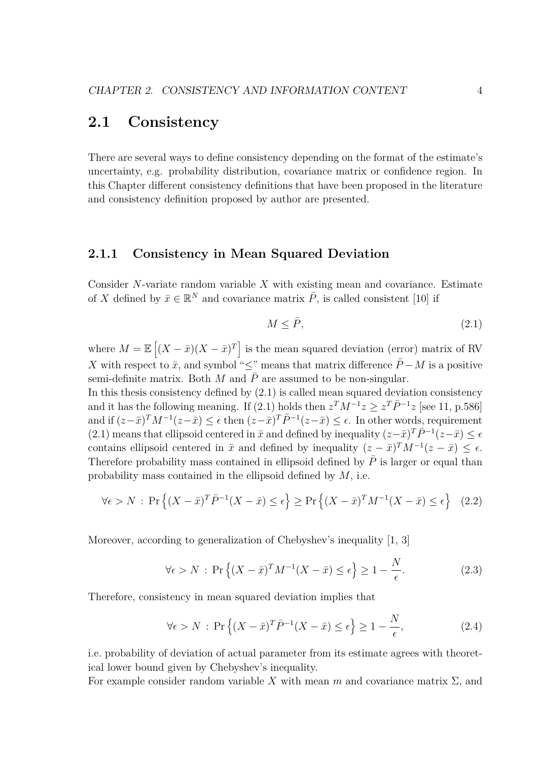### **2.1 Consistency**

There are several ways to define consistency depending on the format of the estimate's uncertainty, e.g. probability distribution, covariance matrix or confidence region. In this Chapter different consistency definitions that have been proposed in the literature and consistency definition proposed by author are presented.

#### **2.1.1 Consistency in Mean Squared Deviation**

Consider *N*-variate random variable *X* with existing mean and covariance. Estimate of *X* defined by  $\bar{x} \in \mathbb{R}^N$  and covariance matrix  $\bar{P}$ , is called consistent [10] if

$$
M \le \bar{P},\tag{2.1}
$$

where  $M = \mathbb{E}[(X - \bar{x})(X - \bar{x})^T]$  is the mean squared deviation (error) matrix of RV *X* with respect to  $\bar{x}$ , and symbol " $\leq$ " means that matrix difference  $\bar{P}$  − *M* is a positive semi-definite matrix. Both  $M$  and  $P$  are assumed to be non-singular.

In this thesis consistency defined by (2.1) is called mean squared deviation consistency and it has the following meaning. If (2.1) holds then  $z^T M^{-1} z \geq z^T \overline{P}^{-1} z$  [see 11, p.586] and if  $(z-\bar{x})^T M^{-1}(z-\bar{x}) \leq \epsilon$  then  $(z-\bar{x})^T \bar{P}^{-1}(z-\bar{x}) \leq \epsilon$ . In other words, requirement (2.1) means that ellipsoid centered in  $\bar{x}$  and defined by inequality  $(z-\bar{x})^T \bar{P}^{-1}(z-\bar{x}) \leq \epsilon$ contains ellipsoid centered in  $\bar{x}$  and defined by inequality  $(z - \bar{x})^T M^{-1} (z - \bar{x}) \leq \epsilon$ . Therefore probability mass contained in ellipsoid defined by  $\overline{P}$  is larger or equal than probability mass contained in the ellipsoid defined by *M*, i.e.

$$
\forall \epsilon > N : \Pr\left\{ (X - \bar{x})^T \bar{P}^{-1} (X - \bar{x}) \le \epsilon \right\} \ge \Pr\left\{ (X - \bar{x})^T M^{-1} (X - \bar{x}) \le \epsilon \right\} \tag{2.2}
$$

Moreover, according to generalization of Chebyshev's inequality [1, 3]

$$
\forall \epsilon > N : \Pr\left\{ (X - \bar{x})^T M^{-1} (X - \bar{x}) \le \epsilon \right\} \ge 1 - \frac{N}{\epsilon}.
$$
 (2.3)

Therefore, consistency in mean squared deviation implies that

$$
\forall \epsilon > N : \Pr\left\{ (X - \bar{x})^T \bar{P}^{-1} (X - \bar{x}) \le \epsilon \right\} \ge 1 - \frac{N}{\epsilon},\tag{2.4}
$$

i.e. probability of deviation of actual parameter from its estimate agrees with theoretical lower bound given by Chebyshev's inequality.

For example consider random variable X with mean  $m$  and covariance matrix  $\Sigma$ , and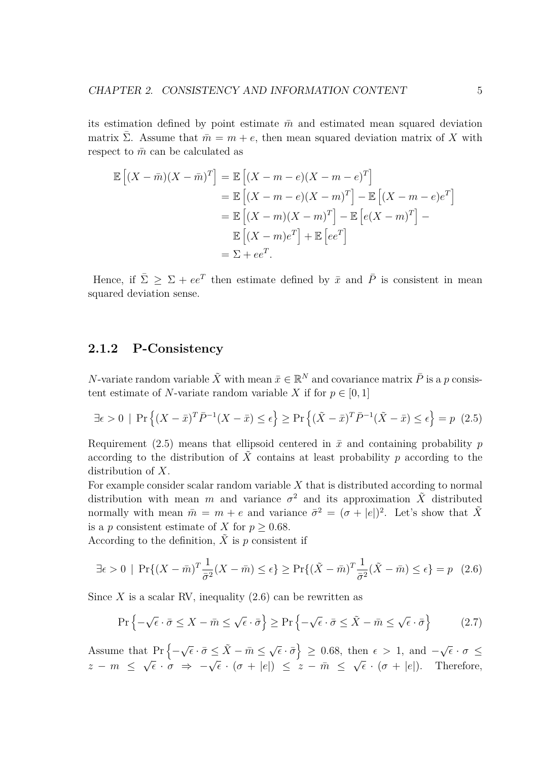its estimation defined by point estimate  $\bar{m}$  and estimated mean squared deviation matrix Σ. Assume that  $\bar{m} = m + e$ , then mean squared deviation matrix of *X* with respect to  $\bar{m}$  can be calculated as

$$
\mathbb{E}\left[(X-\bar{m})(X-\bar{m})^T\right] = \mathbb{E}\left[(X-m-e)(X-m-e)^T\right]
$$

$$
= \mathbb{E}\left[(X-m-e)(X-m)^T\right] - \mathbb{E}\left[(X-m-e)e^T\right]
$$

$$
= \mathbb{E}\left[(X-m)(X-m)^T\right] - \mathbb{E}\left[e(X-m)^T\right] - \mathbb{E}\left[(X-m)e^T\right] + \mathbb{E}\left[ee^T\right]
$$

$$
= \Sigma + ee^T.
$$

Hence, if  $\bar{\Sigma} \geq \Sigma + e e^T$  then estimate defined by  $\bar{x}$  and  $\bar{P}$  is consistent in mean squared deviation sense.

#### **2.1.2 P-Consistency**

*N*-variate random variable  $\tilde{X}$  with mean  $\bar{x} \in \mathbb{R}^N$  and covariance matrix  $\bar{P}$  is a *p* consistent estimate of *N*-variate random variable *X* if for  $p \in [0, 1]$ 

$$
\exists \epsilon > 0 \mid \Pr\left\{ (X - \bar{x})^T \bar{P}^{-1} (X - \bar{x}) \le \epsilon \right\} \ge \Pr\left\{ (\tilde{X} - \bar{x})^T \bar{P}^{-1} (\tilde{X} - \bar{x}) \le \epsilon \right\} = p \tag{2.5}
$$

Requirement (2.5) means that ellipsoid centered in  $\bar{x}$  and containing probability *p* according to the distribution of  $\tilde{X}$  contains at least probability p according to the distribution of *X*.

For example consider scalar random variable *X* that is distributed according to normal distribution with mean *m* and variance  $\sigma^2$  and its approximation  $\tilde{X}$  distributed normally with mean  $\bar{m} = m + e$  and variance  $\bar{\sigma}^2 = (\sigma + |e|)^2$ . Let's show that  $\tilde{X}$ is a *p* consistent estimate of *X* for  $p \geq 0.68$ .

According to the definition,  $\tilde{X}$  is *p* consistent if

$$
\exists \epsilon > 0 \mid \Pr\{(X - \bar{m})^T \frac{1}{\bar{\sigma}^2} (X - \bar{m}) \le \epsilon\} \ge \Pr\{(\tilde{X} - \bar{m})^T \frac{1}{\bar{\sigma}^2} (\tilde{X} - \bar{m}) \le \epsilon\} = p \quad (2.6)
$$

Since  $X$  is a scalar RV, inequality  $(2.6)$  can be rewritten as

$$
\Pr\left\{-\sqrt{\epsilon} \cdot \bar{\sigma} \le X - \bar{m} \le \sqrt{\epsilon} \cdot \bar{\sigma}\right\} \ge \Pr\left\{-\sqrt{\epsilon} \cdot \bar{\sigma} \le \tilde{X} - \bar{m} \le \sqrt{\epsilon} \cdot \bar{\sigma}\right\} \tag{2.7}
$$

Assume that  $Pr$  { $−$  $\sqrt{\epsilon} \cdot \bar{\sigma} \leq \tilde{X} - \bar{m} \leq \sqrt{\epsilon}$  $\{\bar{\epsilon} \cdot \bar{\sigma}\} \geq 0.68$ , then  $\epsilon > 1$ , and  $-\epsilon$ *√*  $\overline{\epsilon}\cdot\sigma \, \leq$ *z − m ≤*  $\sqrt{\epsilon} \cdot \sigma \Rightarrow -\sqrt{\epsilon} \cdot (\sigma + |e|) \leq z - \bar{m} \leq$ *√*  $\overline{\epsilon} \cdot (\sigma + |e|)$ . Therefore,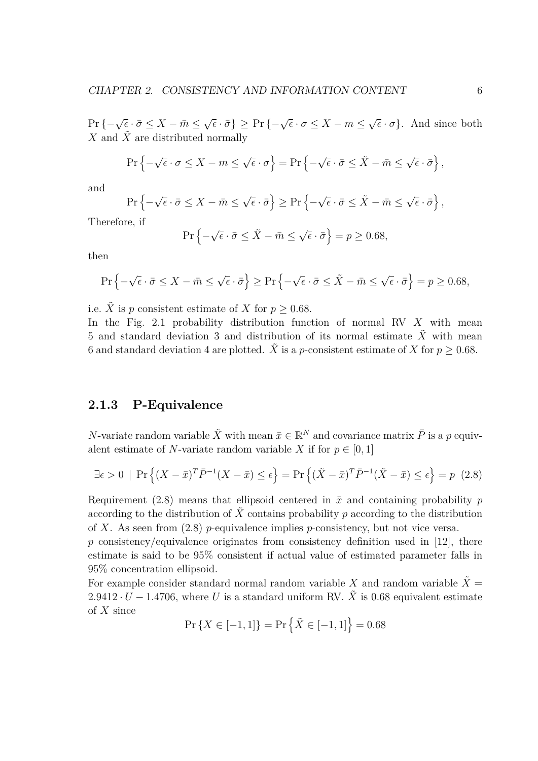$Pr\{-\sqrt{\epsilon} \cdot \bar{\sigma} \leq X - \bar{m} \leq \}$  $\sqrt{\epsilon} \cdot \bar{\sigma}$ }  $\geq$  Pr { $-\sqrt{\epsilon} \cdot \sigma \leq X - m \leq$ *√*  $\{\epsilon \cdot \sigma\}$ . And since both *X* and  $\tilde{X}$  are distributed normally

$$
\Pr\left\{-\sqrt{\epsilon} \cdot \sigma \le X - m \le \sqrt{\epsilon} \cdot \sigma\right\} = \Pr\left\{-\sqrt{\epsilon} \cdot \bar{\sigma} \le \tilde{X} - \bar{m} \le \sqrt{\epsilon} \cdot \bar{\sigma}\right\},\
$$

and

$$
\Pr\left\{-\sqrt{\epsilon} \cdot \bar{\sigma} \le X - \bar{m} \le \sqrt{\epsilon} \cdot \bar{\sigma}\right\} \ge \Pr\left\{-\sqrt{\epsilon} \cdot \bar{\sigma} \le \tilde{X} - \bar{m} \le \sqrt{\epsilon} \cdot \bar{\sigma}\right\},\
$$

Therefore, if

$$
\Pr\left\{-\sqrt{\epsilon} \cdot \bar{\sigma} \le \tilde{X} - \bar{m} \le \sqrt{\epsilon} \cdot \bar{\sigma}\right\} = p \ge 0.68,
$$

then

$$
\Pr\left\{-\sqrt{\epsilon} \cdot \bar{\sigma} \le X - \bar{m} \le \sqrt{\epsilon} \cdot \bar{\sigma}\right\} \ge \Pr\left\{-\sqrt{\epsilon} \cdot \bar{\sigma} \le \tilde{X} - \bar{m} \le \sqrt{\epsilon} \cdot \bar{\sigma}\right\} = p \ge 0.68,
$$

i.e.  $\tilde{X}$  is *p* consistent estimate of *X* for  $p \geq 0.68$ .

In the Fig. 2.1 probability distribution function of normal RV *X* with mean 5 and standard deviation 3 and distribution of its normal estimate  $\ddot{X}$  with mean 6 and standard deviation 4 are plotted. *X* is a *p*-consistent estimate of *X* for  $p \ge 0.68$ .

#### **2.1.3 P-Equivalence**

*N*-variate random variable  $\tilde{X}$  with mean  $\bar{x} \in \mathbb{R}^N$  and covariance matrix  $\bar{P}$  is a *p* equivalent estimate of *N*-variate random variable *X* if for  $p \in [0, 1]$ 

$$
\exists \epsilon > 0 \mid \Pr\left\{ (X - \bar{x})^T \bar{P}^{-1} (X - \bar{x}) \le \epsilon \right\} = \Pr\left\{ (\tilde{X} - \bar{x})^T \bar{P}^{-1} (\tilde{X} - \bar{x}) \le \epsilon \right\} = p \tag{2.8}
$$

Requirement (2.8) means that ellipsoid centered in  $\bar{x}$  and containing probability *p* according to the distribution of  $\tilde{X}$  contains probability p according to the distribution of *X*. As seen from (2.8) *p*-equivalence implies *p*-consistency, but not vice versa.

p consistency/equivalence originates from consistency definition used in [12], there estimate is said to be 95% consistent if actual value of estimated parameter falls in 95% concentration ellipsoid.

For example consider standard normal random variable X and random variable  $\tilde{X} =$  $2.9412 \cdot U - 1.4706$ , where U is a standard uniform RV. X is 0.68 equivalent estimate of *X* since

$$
\Pr\left\{X \in [-1, 1]\right\} = \Pr\left\{\tilde{X} \in [-1, 1]\right\} = 0.68
$$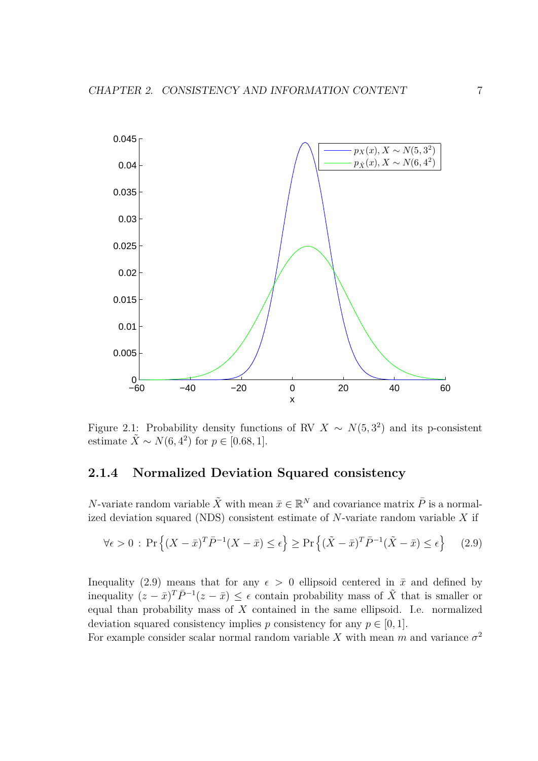

Figure 2.1: Probability density functions of RV  $X \sim N(5, 3^2)$  and its p-consistent estimate  $\tilde{X} \sim N(6, 4^2)$  for  $p \in [0.68, 1]$ .

#### **2.1.4 Normalized Deviation Squared consistency**

*N*-variate random variable  $\tilde{X}$  with mean  $\bar{x} \in \mathbb{R}^N$  and covariance matrix  $\bar{P}$  is a normalized deviation squared (NDS) consistent estimate of *N*-variate random variable *X* if

$$
\forall \epsilon > 0 : \Pr\left\{ (X - \bar{x})^T \bar{P}^{-1} (X - \bar{x}) \le \epsilon \right\} \ge \Pr\left\{ (\tilde{X} - \bar{x})^T \bar{P}^{-1} (\tilde{X} - \bar{x}) \le \epsilon \right\} \tag{2.9}
$$

Inequality (2.9) means that for any  $\epsilon > 0$  ellipsoid centered in  $\bar{x}$  and defined by inequality  $(z - \bar{x})^T \bar{P}^{-1}(z - \bar{x}) \leq \epsilon$  contain probability mass of  $\tilde{X}$  that is smaller or equal than probability mass of *X* contained in the same ellipsoid. I.e. normalized deviation squared consistency implies *p* consistency for any  $p \in [0, 1]$ .

For example consider scalar normal random variable X with mean  $m$  and variance  $\sigma^2$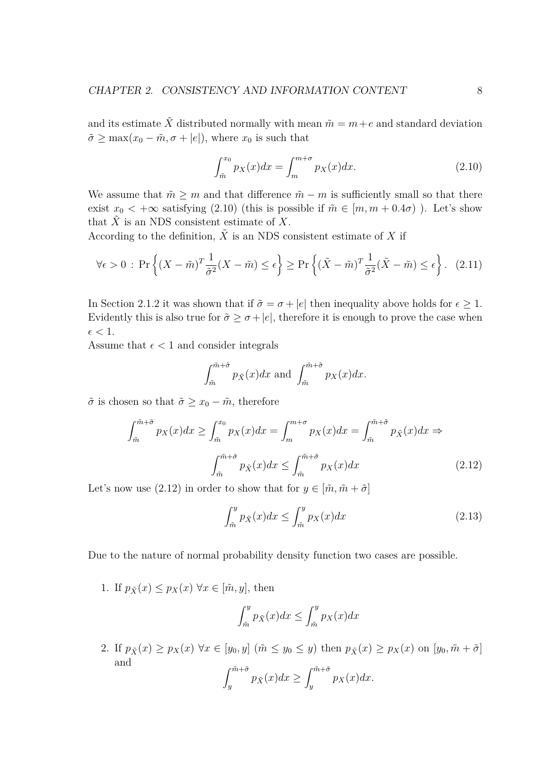and its estimate  $\tilde{X}$  distributed normally with mean  $\tilde{m} = m + e$  and standard deviation  $\tilde{\sigma} \ge \max(x_0 - \tilde{m}, \sigma + |e|)$ , where  $x_0$  is such that

$$
\int_{\tilde{m}}^{x_0} p_X(x) dx = \int_{m}^{m+\sigma} p_X(x) dx.
$$
 (2.10)

We assume that  $\tilde{m} \geq m$  and that difference  $\tilde{m} - m$  is sufficiently small so that there exist  $x_0 < +\infty$  satisfying (2.10) (this is possible if  $\tilde{m} \in [m, m + 0.4\sigma)$ ). Let's show that  $\tilde{X}$  is an NDS consistent estimate of X.

According to the definition,  $\tilde{X}$  is an NDS consistent estimate of X if

$$
\forall \epsilon > 0 : \Pr\left\{ (X - \tilde{m})^T \frac{1}{\tilde{\sigma}^2} (X - \tilde{m}) \le \epsilon \right\} \ge \Pr\left\{ (\tilde{X} - \tilde{m})^T \frac{1}{\tilde{\sigma}^2} (\tilde{X} - \tilde{m}) \le \epsilon \right\}. \tag{2.11}
$$

In Section 2.1.2 it was shown that if  $\tilde{\sigma} = \sigma + |e|$  then inequality above holds for  $\epsilon \geq 1$ . Evidently this is also true for  $\tilde{\sigma} \geq \sigma + |e|$ , therefore it is enough to prove the case when  $\epsilon < 1$ .

Assume that  $\epsilon < 1$  and consider integrals

$$
\int_{\tilde{m}}^{\tilde{m}+\tilde{\sigma}} p_{\tilde{X}}(x)dx \text{ and } \int_{\tilde{m}}^{\tilde{m}+\tilde{\sigma}} p_X(x)dx.
$$

 $\tilde{\sigma}$  is chosen so that  $\tilde{\sigma} \geq x_0 - \tilde{m}$ , therefore

$$
\int_{\tilde{m}}^{\tilde{m}+\tilde{\sigma}} p_X(x)dx \ge \int_{\tilde{m}}^{x_0} p_X(x)dx = \int_{m}^{m+\sigma} p_X(x)dx = \int_{\tilde{m}}^{\tilde{m}+\tilde{\sigma}} p_{\tilde{X}}(x)dx \Rightarrow
$$
\n
$$
\int_{\tilde{m}}^{\tilde{m}+\tilde{\sigma}} p_{\tilde{X}}(x)dx \le \int_{\tilde{m}}^{\tilde{m}+\tilde{\sigma}} p_X(x)dx \tag{2.12}
$$

Let's now use (2.12) in order to show that for  $y \in [\tilde{m}, \tilde{m} + \tilde{\sigma}]$ 

$$
\int_{\tilde{m}}^{y} p_{\tilde{X}}(x) dx \le \int_{\tilde{m}}^{y} p_X(x) dx \tag{2.13}
$$

Due to the nature of normal probability density function two cases are possible.

1. If  $p_{\tilde{X}}(x) \leq p_X(x) \ \forall x \in [\tilde{m}, y]$ , then

$$
\int_{\tilde{m}}^{y} p_{\tilde{X}}(x) dx \le \int_{\tilde{m}}^{y} p_X(x) dx
$$

2. If  $p_{\tilde{X}}(x) \geq p_X(x) \,\forall x \in [y_0, y]$   $(\tilde{m} \leq y_0 \leq y)$  then  $p_{\tilde{X}}(x) \geq p_X(x)$  on  $[y_0, \tilde{m} + \tilde{\sigma}]$ and  $∫<sup>m</sup> + *σ*$  $\int_{y}^{\tilde{m}+\tilde{\sigma}} p_{\tilde{X}}(x)dx \geq \int_{y}^{\tilde{m}+\tilde{\sigma}}$  $\int_{y}$  *p<sub>X</sub>*(*x*)*dx*.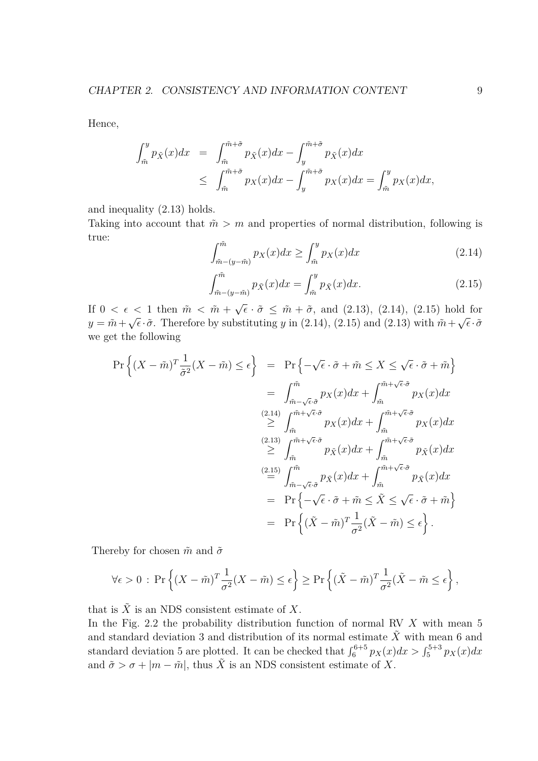Hence,

$$
\int_{\tilde{m}}^{y} p_{\tilde{X}}(x) dx = \int_{\tilde{m}}^{\tilde{m}+\tilde{\sigma}} p_{\tilde{X}}(x) dx - \int_{y}^{\tilde{m}+\tilde{\sigma}} p_{\tilde{X}}(x) dx
$$
  

$$
\leq \int_{\tilde{m}}^{\tilde{m}+\tilde{\sigma}} p_{X}(x) dx - \int_{y}^{\tilde{m}+\tilde{\sigma}} p_{X}(x) dx = \int_{\tilde{m}}^{y} p_{X}(x) dx,
$$

and inequality (2.13) holds.

Taking into account that  $\tilde{m} > m$  and properties of normal distribution, following is true:

$$
\int_{\tilde{m}-(y-\tilde{m})}^{\tilde{m}} p_X(x)dx \ge \int_{\tilde{m}}^y p_X(x)dx \tag{2.14}
$$

$$
\int_{\tilde{m}-(y-\tilde{m})}^{\tilde{m}} p_{\tilde{X}}(x)dx = \int_{\tilde{m}}^{y} p_{\tilde{X}}(x)dx.
$$
 (2.15)

If  $0 < \epsilon < 1$  then  $\tilde{m} < \tilde{m} +$ *√*  $\bar{\epsilon} \cdot \tilde{\sigma} \leq \tilde{m} + \tilde{\sigma}$ , and (2.13), (2.14), (2.15) hold for  $y = \tilde{m} +$ *√*  $\bar{\epsilon} \cdot \tilde{\sigma}$ . Therefore by substituting *y* in (2.14), (2.15) and (2.13) with  $\tilde{m}$  + *√*  $\overline{\epsilon}\cdot\tilde{\sigma}$ we get the following

$$
\Pr\left\{ (X - \tilde{m})^T \frac{1}{\tilde{\sigma}^2} (X - \tilde{m}) \le \epsilon \right\} = \Pr\left\{ -\sqrt{\epsilon} \cdot \tilde{\sigma} + \tilde{m} \le X \le \sqrt{\epsilon} \cdot \tilde{\sigma} + \tilde{m} \right\}
$$
\n
$$
= \int_{\tilde{m} - \sqrt{\epsilon} \cdot \tilde{\sigma}}^{\tilde{m}} p_X(x) dx + \int_{\tilde{m}}^{\tilde{m} + \sqrt{\epsilon} \cdot \tilde{\sigma}} p_X(x) dx
$$
\n
$$
\stackrel{(2.14)}{\geq} \int_{\tilde{m}}^{\tilde{m} + \sqrt{\epsilon} \cdot \tilde{\sigma}} p_X(x) dx + \int_{\tilde{m}}^{\tilde{m} + \sqrt{\epsilon} \cdot \tilde{\sigma}} p_X(x) dx
$$
\n
$$
\stackrel{(2.13)}{\geq} \int_{\tilde{m}}^{\tilde{m} + \sqrt{\epsilon} \cdot \tilde{\sigma}} p_{\tilde{X}}(x) dx + \int_{\tilde{m}}^{\tilde{m} + \sqrt{\epsilon} \cdot \tilde{\sigma}} p_{\tilde{X}}(x) dx
$$
\n
$$
\stackrel{(2.15)}{=} \int_{\tilde{m} - \sqrt{\epsilon} \cdot \tilde{\sigma}}^{\tilde{m}} p_{\tilde{X}}(x) dx + \int_{\tilde{m}}^{\tilde{m} + \sqrt{\epsilon} \cdot \tilde{\sigma}} p_{\tilde{X}}(x) dx
$$
\n
$$
= \Pr\left\{ -\sqrt{\epsilon} \cdot \tilde{\sigma} + \tilde{m} \le \tilde{X} \le \sqrt{\epsilon} \cdot \tilde{\sigma} + \tilde{m} \right\}
$$
\n
$$
= \Pr\left\{ (\tilde{X} - \tilde{m})^T \frac{1}{\sigma^2} (\tilde{X} - \tilde{m}) \le \epsilon \right\}.
$$

Thereby for chosen  $\tilde{m}$  and  $\tilde{\sigma}$ 

$$
\forall \epsilon > 0 : \Pr\left\{ (X - \tilde{m})^T \frac{1}{\sigma^2} (X - \tilde{m}) \le \epsilon \right\} \ge \Pr\left\{ (\tilde{X} - \tilde{m})^T \frac{1}{\sigma^2} (\tilde{X} - \tilde{m} \le \epsilon \right\},\
$$

that is  $\tilde{X}$  is an NDS consistent estimate of X.

In the Fig. 2.2 the probability distribution function of normal RV *X* with mean 5 and standard deviation 3 and distribution of its normal estimate  $\tilde{X}$  with mean 6 and standard deviation 5 are plotted. It can be checked that  $\int_6^{6+5} p_X(x) dx > \int_5^{5+3} p_X(x) dx$ and  $\tilde{\sigma} > \sigma + |m - \tilde{m}|$ , thus  $\tilde{X}$  is an NDS consistent estimate of X.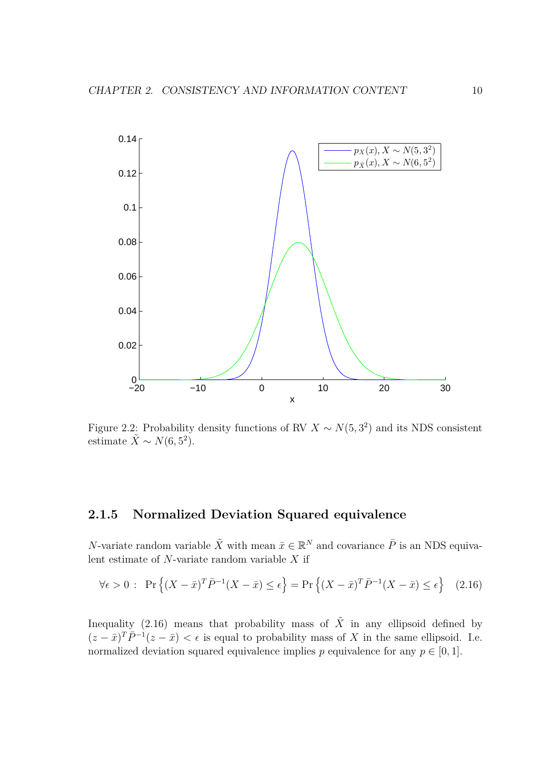

Figure 2.2: Probability density functions of RV  $X \sim N(5, 3^2)$  and its NDS consistent estimate  $\tilde{X} \sim N(6, 5^2)$ .

#### **2.1.5 Normalized Deviation Squared equivalence**

*N*-variate random variable  $\tilde{X}$  with mean  $\bar{x} \in \mathbb{R}^N$  and covariance  $\bar{P}$  is an NDS equivalent estimate of *N*-variate random variable *X* if

$$
\forall \epsilon > 0: \Pr\left\{ (X - \bar{x})^T \bar{P}^{-1} (X - \bar{x}) \le \epsilon \right\} = \Pr\left\{ (X - \bar{x})^T \bar{P}^{-1} (X - \bar{x}) \le \epsilon \right\} \tag{2.16}
$$

Inequality (2.16) means that probability mass of  $\tilde{X}$  in any ellipsoid defined by  $(z - \bar{x})^T \bar{P}^{-1}(z - \bar{x}) < \epsilon$  is equal to probability mass of X in the same ellipsoid. I.e. normalized deviation squared equivalence implies *p* equivalence for any  $p \in [0, 1]$ .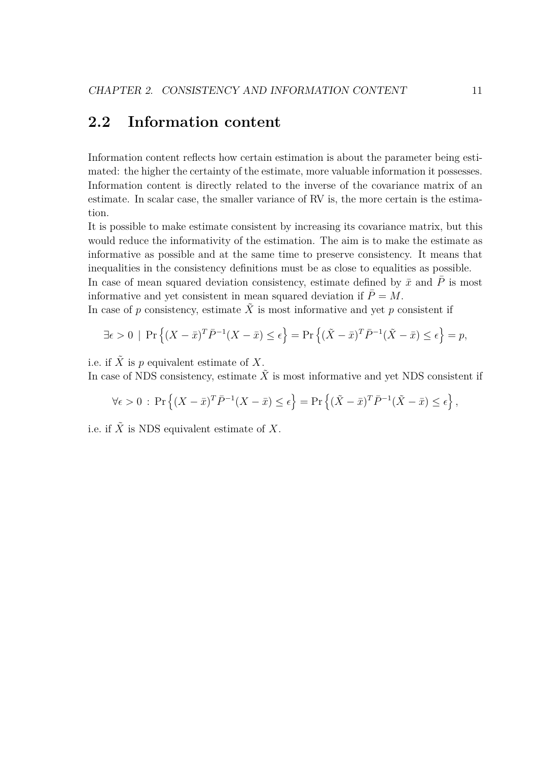## **2.2 Information content**

Information content reflects how certain estimation is about the parameter being estimated: the higher the certainty of the estimate, more valuable information it possesses. Information content is directly related to the inverse of the covariance matrix of an estimate. In scalar case, the smaller variance of RV is, the more certain is the estimation.

It is possible to make estimate consistent by increasing its covariance matrix, but this would reduce the informativity of the estimation. The aim is to make the estimate as informative as possible and at the same time to preserve consistency. It means that inequalities in the consistency definitions must be as close to equalities as possible. In case of mean squared deviation consistency, estimate defined by  $\bar{x}$  and  $\bar{P}$  is most informative and yet consistent in mean squared deviation if  $\bar{P} = M$ .

In case of *p* consistency, estimate  $\tilde{X}$  is most informative and yet *p* consistent if

$$
\exists \epsilon > 0 \mid \Pr\left\{ (X - \bar{x})^T \bar{P}^{-1} (X - \bar{x}) \le \epsilon \right\} = \Pr\left\{ (\tilde{X} - \bar{x})^T \bar{P}^{-1} (\tilde{X} - \bar{x}) \le \epsilon \right\} = p,
$$

i.e. if  $\tilde{X}$  is p equivalent estimate of X.

In case of NDS consistency, estimate  $\tilde{X}$  is most informative and yet NDS consistent if

$$
\forall \epsilon > 0 : \Pr\left\{ (X - \bar{x})^T \bar{P}^{-1} (X - \bar{x}) \le \epsilon \right\} = \Pr\left\{ (\tilde{X} - \bar{x})^T \bar{P}^{-1} (\tilde{X} - \bar{x}) \le \epsilon \right\},\
$$

i.e. if  $\tilde{X}$  is NDS equivalent estimate of  $X$ .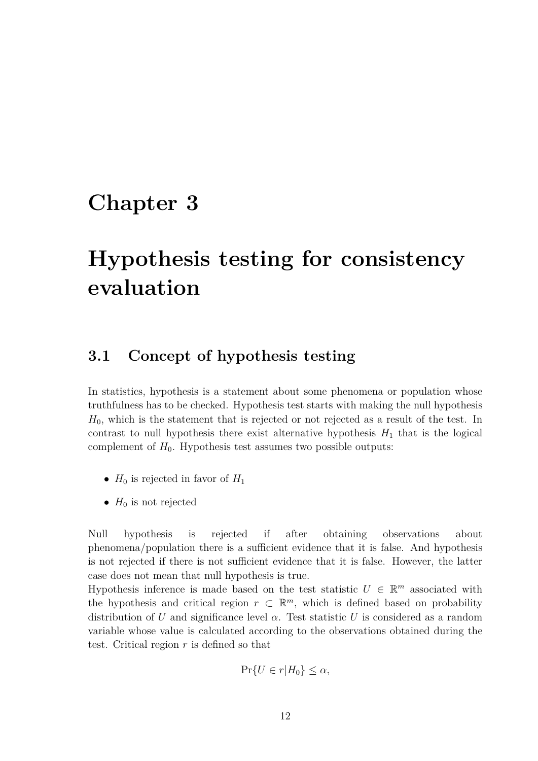## **Chapter 3**

# **Hypothesis testing for consistency evaluation**

## **3.1 Concept of hypothesis testing**

In statistics, hypothesis is a statement about some phenomena or population whose truthfulness has to be checked. Hypothesis test starts with making the null hypothesis *H*0, which is the statement that is rejected or not rejected as a result of the test. In contrast to null hypothesis there exist alternative hypothesis  $H_1$  that is the logical complement of  $H_0$ . Hypothesis test assumes two possible outputs:

- $H_0$  is rejected in favor of  $H_1$
- $H_0$  is not rejected

Null hypothesis is rejected if after obtaining observations about phenomena/population there is a sufficient evidence that it is false. And hypothesis is not rejected if there is not sufficient evidence that it is false. However, the latter case does not mean that null hypothesis is true.

Hypothesis inference is made based on the test statistic  $U \in \mathbb{R}^m$  associated with the hypothesis and critical region  $r \subset \mathbb{R}^m$ , which is defined based on probability distribution of *U* and significance level  $\alpha$ . Test statistic *U* is considered as a random variable whose value is calculated according to the observations obtained during the test. Critical region *r* is defined so that

$$
\Pr\{U \in r | H_0\} \le \alpha,
$$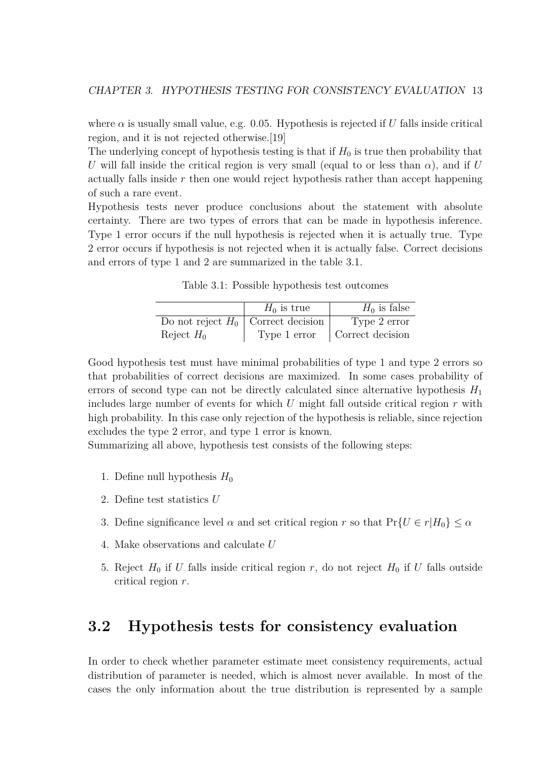where  $\alpha$  is usually small value, e.g. 0.05. Hypothesis is rejected if *U* falls inside critical region, and it is not rejected otherwise.[19]

The underlying concept of hypothesis testing is that if  $H_0$  is true then probability that *U* will fall inside the critical region is very small (equal to or less than  $\alpha$ ), and if *U* actually falls inside *r* then one would reject hypothesis rather than accept happening of such a rare event.

Hypothesis tests never produce conclusions about the statement with absolute certainty. There are two types of errors that can be made in hypothesis inference. Type 1 error occurs if the null hypothesis is rejected when it is actually true. Type 2 error occurs if hypothesis is not rejected when it is actually false. Correct decisions and errors of type 1 and 2 are summarized in the table 3.1.

Table 3.1: Possible hypothesis test outcomes

|                                      | $H_0$ is true | $H_0$ is false   |
|--------------------------------------|---------------|------------------|
| Do not reject $H_0$ Correct decision |               | Type 2 error     |
| Reject $H_0$                         | Type 1 error  | Correct decision |

Good hypothesis test must have minimal probabilities of type 1 and type 2 errors so that probabilities of correct decisions are maximized. In some cases probability of errors of second type can not be directly calculated since alternative hypothesis  $H_1$ includes large number of events for which *U* might fall outside critical region *r* with high probability. In this case only rejection of the hypothesis is reliable, since rejection excludes the type 2 error, and type 1 error is known.

Summarizing all above, hypothesis test consists of the following steps:

- 1. Define null hypothesis  $H_0$
- 2. Define test statistics *U*
- 3. Define significance level  $\alpha$  and set critical region  $r$  so that  $Pr\{U \in r | H_0\} \leq \alpha$
- 4. Make observations and calculate *U*
- 5. Reject  $H_0$  if *U* falls inside critical region *r*, do not reject  $H_0$  if *U* falls outside critical region *r*.

### **3.2 Hypothesis tests for consistency evaluation**

In order to check whether parameter estimate meet consistency requirements, actual distribution of parameter is needed, which is almost never available. In most of the cases the only information about the true distribution is represented by a sample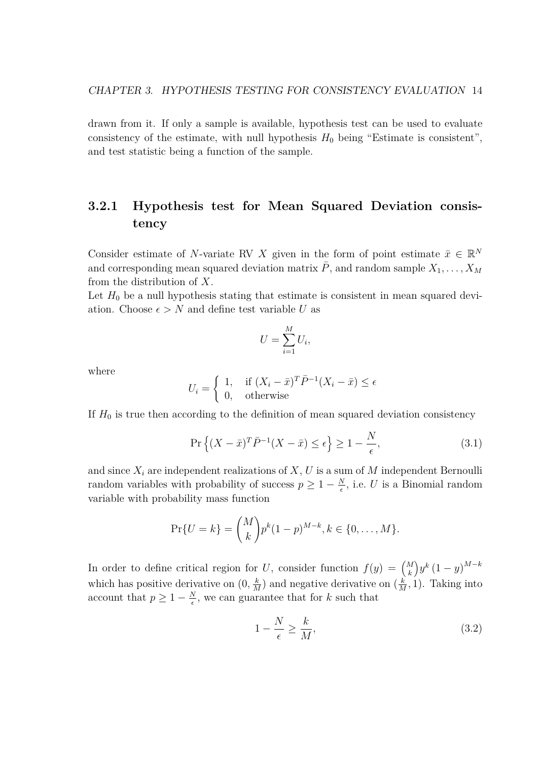drawn from it. If only a sample is available, hypothesis test can be used to evaluate consistency of the estimate, with null hypothesis  $H_0$  being "Estimate is consistent", and test statistic being a function of the sample.

### **3.2.1 Hypothesis test for Mean Squared Deviation consistency**

Consider estimate of *N*-variate RV *X* given in the form of point estimate  $\bar{x} \in \mathbb{R}^N$ and corresponding mean squared deviation matrix  $\overline{P}$ , and random sample  $X_1, \ldots, X_M$ from the distribution of *X*.

Let  $H_0$  be a null hypothesis stating that estimate is consistent in mean squared deviation. Choose  $\epsilon > N$  and define test variable *U* as

$$
U = \sum_{i=1}^{M} U_i,
$$

where

$$
U_i = \begin{cases} 1, & \text{if } (X_i - \bar{x})^T \bar{P}^{-1} (X_i - \bar{x}) \le \epsilon \\ 0, & \text{otherwise} \end{cases}
$$

If  $H_0$  is true then according to the definition of mean squared deviation consistency

$$
\Pr\left\{ (X - \bar{x})^T \bar{P}^{-1} (X - \bar{x}) \le \epsilon \right\} \ge 1 - \frac{N}{\epsilon},\tag{3.1}
$$

and since  $X_i$  are independent realizations of  $X, U$  is a sum of  $M$  independent Bernoulli random variables with probability of success  $p \geq 1 - \frac{N}{e}$  $\frac{N}{\epsilon}$ , i.e. *U* is a Binomial random variable with probability mass function

$$
\Pr\{U = k\} = \binom{M}{k} p^k (1-p)^{M-k}, k \in \{0, \dots, M\}.
$$

In order to define critical region for *U*, consider function  $f(y) = {M \choose k}$ *k*  $\int y^k (1-y)^{M-k}$ which has positive derivative on  $(0, \frac{k}{\lambda})$  $\frac{k}{M}$ ) and negative derivative on  $(\frac{k}{M})$  $\frac{k}{M}$ , 1). Taking into account that  $p \geq 1 - \frac{N}{6}$  $\frac{N}{\epsilon}$ , we can guarantee that for *k* such that

$$
1 - \frac{N}{\epsilon} \ge \frac{k}{M},\tag{3.2}
$$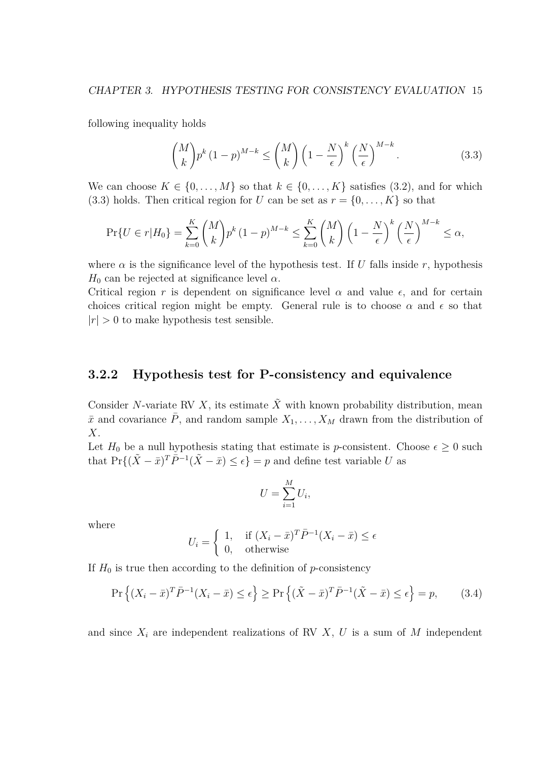following inequality holds

$$
\binom{M}{k} p^k \left(1-p\right)^{M-k} \le \binom{M}{k} \left(1-\frac{N}{\epsilon}\right)^k \left(\frac{N}{\epsilon}\right)^{M-k}.\tag{3.3}
$$

We can choose  $K \in \{0, \ldots, M\}$  so that  $k \in \{0, \ldots, K\}$  satisfies (3.2), and for which  $(3.3)$  holds. Then critical region for *U* can be set as  $r = \{0, \ldots, K\}$  so that

$$
\Pr\{U \in r | H_0\} = \sum_{k=0}^{K} {M \choose k} p^k (1-p)^{M-k} \le \sum_{k=0}^{K} {M \choose k} \left(1 - \frac{N}{\epsilon}\right)^k \left(\frac{N}{\epsilon}\right)^{M-k} \le \alpha,
$$

where  $\alpha$  is the significance level of the hypothesis test. If *U* falls inside *r*, hypothesis  $H_0$  can be rejected at significance level  $\alpha$ .

Critical region *r* is dependent on significance level  $\alpha$  and value  $\epsilon$ , and for certain choices critical region might be empty. General rule is to choose  $\alpha$  and  $\epsilon$  so that  $|r| > 0$  to make hypothesis test sensible.

#### **3.2.2 Hypothesis test for P-consistency and equivalence**

Consider *N*-variate RV *X*, its estimate  $\tilde{X}$  with known probability distribution, mean  $\bar{x}$  and covariance *P*, and random sample  $X_1, \ldots, X_M$  drawn from the distribution of *X*.

Let  $H_0$  be a null hypothesis stating that estimate is *p*-consistent. Choose  $\epsilon \geq 0$  such that  $Pr\{(\tilde{X} - \bar{x})^T \bar{P}^{-1} (\tilde{X} - \bar{x}) \leq \epsilon\} = p$  and define test variable *U* as

$$
U = \sum_{i=1}^{M} U_i,
$$

where

$$
U_i = \begin{cases} 1, & \text{if } (X_i - \bar{x})^T \bar{P}^{-1} (X_i - \bar{x}) \le \epsilon \\ 0, & \text{otherwise} \end{cases}
$$

If  $H_0$  is true then according to the definition of *p*-consistency

$$
\Pr\left\{ (X_i - \bar{x})^T \bar{P}^{-1} (X_i - \bar{x}) \le \epsilon \right\} \ge \Pr\left\{ (\tilde{X} - \bar{x})^T \bar{P}^{-1} (\tilde{X} - \bar{x}) \le \epsilon \right\} = p,\tag{3.4}
$$

and since  $X_i$  are independent realizations of RV  $X$ ,  $U$  is a sum of  $M$  independent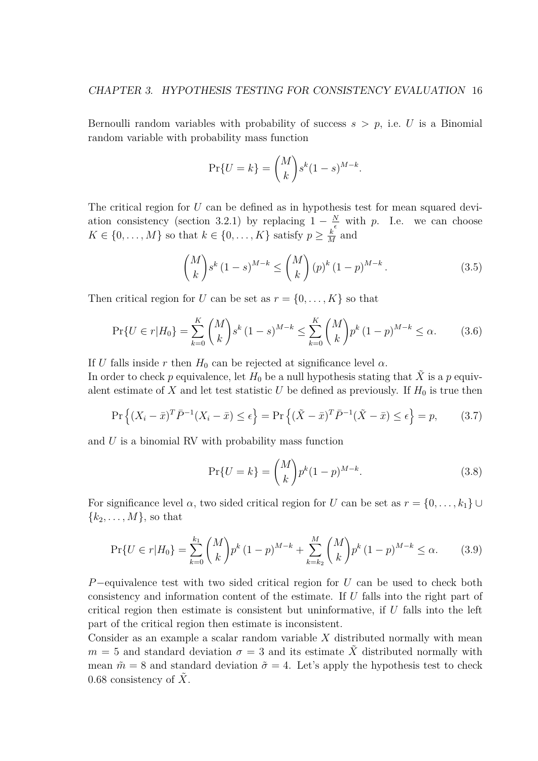Bernoulli random variables with probability of success  $s > p$ , i.e. *U* is a Binomial random variable with probability mass function

$$
\Pr\{U=k\} = \binom{M}{k} s^k (1-s)^{M-k}.
$$

The critical region for *U* can be defined as in hypothesis test for mean squared deviation consistency (section 3.2.1) by replacing  $1 - \frac{N}{\epsilon}$  with *p*. I.e. we can choose  $K \in \{0, \ldots, M\}$  so that  $k \in \{0, \ldots, K\}$  satisfy  $p \geq \frac{k}{N}$  $\frac{k}{M}$  and

$$
\binom{M}{k} s^k (1-s)^{M-k} \le \binom{M}{k} (p)^k (1-p)^{M-k}.
$$
\n(3.5)

Then critical region for *U* can be set as  $r = \{0, \ldots, K\}$  so that

$$
\Pr\{U \in r | H_0\} = \sum_{k=0}^{K} \binom{M}{k} s^k (1-s)^{M-k} \le \sum_{k=0}^{K} \binom{M}{k} p^k (1-p)^{M-k} \le \alpha. \tag{3.6}
$$

If *U* falls inside *r* then  $H_0$  can be rejected at significance level  $\alpha$ .

In order to check *p* equivalence, let  $H_0$  be a null hypothesis stating that  $\tilde{X}$  is a *p* equivalent estimate of X and let test statistic U be defined as previously. If  $H_0$  is true then

$$
\Pr\left\{ (X_i - \bar{x})^T \bar{P}^{-1} (X_i - \bar{x}) \le \epsilon \right\} = \Pr\left\{ (\tilde{X} - \bar{x})^T \bar{P}^{-1} (\tilde{X} - \bar{x}) \le \epsilon \right\} = p,\tag{3.7}
$$

and *U* is a binomial RV with probability mass function

$$
\Pr\{U = k\} = \binom{M}{k} p^k (1-p)^{M-k}.\tag{3.8}
$$

For significance level  $\alpha$ , two sided critical region for *U* can be set as  $r = \{0, \ldots, k_1\} \cup \{0, \ldots, k_m\}$  ${k_2, \ldots, M}$ , so that

$$
\Pr\{U \in r | H_0\} = \sum_{k=0}^{k_1} {M \choose k} p^k (1-p)^{M-k} + \sum_{k=k_2}^{M} {M \choose k} p^k (1-p)^{M-k} \le \alpha. \tag{3.9}
$$

*P*<sup>−</sup>equivalence test with two sided critical region for *U* can be used to check both consistency and information content of the estimate. If *U* falls into the right part of critical region then estimate is consistent but uninformative, if *U* falls into the left part of the critical region then estimate is inconsistent.

Consider as an example a scalar random variable *X* distributed normally with mean  $m = 5$  and standard deviation  $\sigma = 3$  and its estimate X distributed normally with mean  $\tilde{m} = 8$  and standard deviation  $\tilde{\sigma} = 4$ . Let's apply the hypothesis test to check 0.68 consistency of  $\overline{X}$ .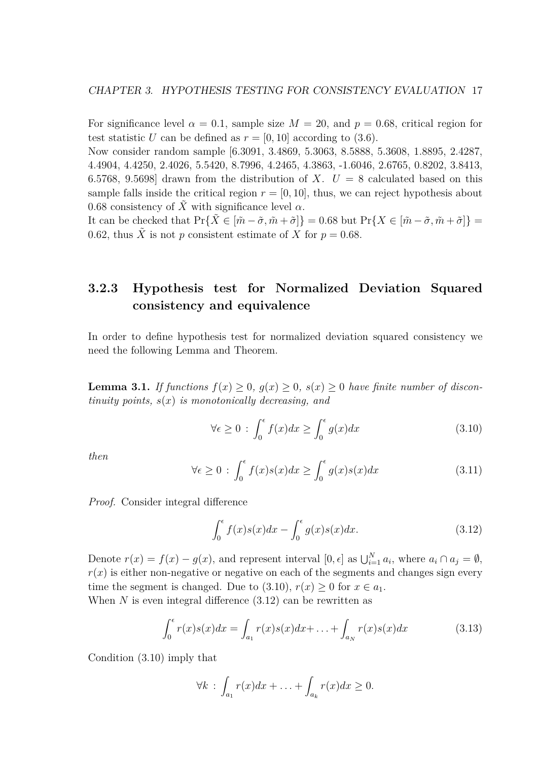For significance level  $\alpha = 0.1$ , sample size  $M = 20$ , and  $p = 0.68$ , critical region for test statistic *U* can be defined as  $r = [0, 10]$  according to (3.6).

Now consider random sample [6.3091, 3.4869, 5.3063, 8.5888, 5.3608, 1.8895, 2.4287, 4.4904, 4.4250, 2.4026, 5.5420, 8.7996, 4.2465, 4.3863, -1.6046, 2.6765, 0.8202, 3.8413, 6.5768, 9.5698 drawn from the distribution of *X*.  $U = 8$  calculated based on this sample falls inside the critical region  $r = [0, 10]$ , thus, we can reject hypothesis about 0.68 consistency of  $\tilde{X}$  with significance level  $\alpha$ .

It can be checked that  $\Pr\{X \in [\tilde{m} - \tilde{\sigma}, \tilde{m} + \tilde{\sigma}]\} = 0.68$  but  $\Pr\{X \in [\tilde{m} - \tilde{\sigma}, \tilde{m} + \tilde{\sigma}]\} =$ 0.62, thus  $\tilde{X}$  is not *p* consistent estimate of *X* for  $p = 0.68$ .

### **3.2.3 Hypothesis test for Normalized Deviation Squared consistency and equivalence**

In order to define hypothesis test for normalized deviation squared consistency we need the following Lemma and Theorem.

**Lemma 3.1.** *If functions*  $f(x) \geq 0$ ,  $g(x) \geq 0$ ,  $s(x) \geq 0$  *have finite number of discontinuity points, s*(*x*) *is monotonically decreasing, and*

$$
\forall \epsilon \ge 0 \; : \; \int_0^{\epsilon} f(x)dx \ge \int_0^{\epsilon} g(x)dx \tag{3.10}
$$

*then*

$$
\forall \epsilon \ge 0 \; : \; \int_0^{\epsilon} f(x)s(x)dx \ge \int_0^{\epsilon} g(x)s(x)dx \tag{3.11}
$$

*Proof.* Consider integral difference

$$
\int_0^\epsilon f(x)s(x)dx - \int_0^\epsilon g(x)s(x)dx.
$$
 (3.12)

Denote  $r(x) = f(x) - g(x)$ , and represent interval [0,  $\epsilon$ ] as  $\bigcup_{i=1}^{N} a_i$ , where  $a_i \cap a_j = \emptyset$ ,  $r(x)$  is either non-negative or negative on each of the segments and changes sign every time the segment is changed. Due to (3.10),  $r(x) \geq 0$  for  $x \in a_1$ . When *N* is even integral difference (3.12) can be rewritten as

$$
\int_0^{\epsilon} r(x)s(x)dx = \int_{a_1} r(x)s(x)dx + \ldots + \int_{a_N} r(x)s(x)dx \tag{3.13}
$$

Condition (3.10) imply that

$$
\forall k \; : \; \int_{a_1} r(x) dx + \ldots + \int_{a_k} r(x) dx \geq 0.
$$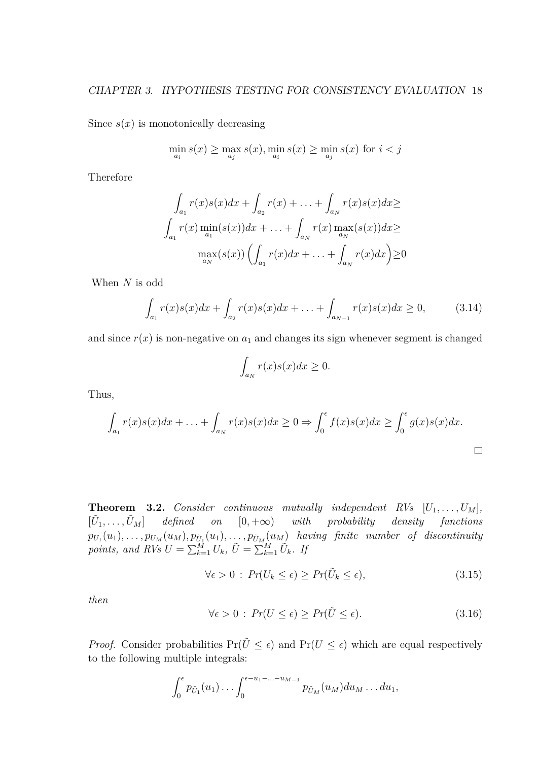Since  $s(x)$  is monotonically decreasing

$$
\min_{a_i} s(x) \ge \max_{a_j} s(x), \min_{a_i} s(x) \ge \min_{a_j} s(x) \text{ for } i < j
$$

Therefore

$$
\int_{a_1} r(x)s(x)dx + \int_{a_2} r(x) + \dots + \int_{a_N} r(x)s(x)dx \ge
$$
  

$$
\int_{a_1} r(x) \min_{a_1} (s(x))dx + \dots + \int_{a_N} r(x) \max_{a_N} (s(x))dx \ge
$$
  

$$
\max_{a_N} (s(x)) \left( \int_{a_1} r(x)dx + \dots + \int_{a_N} r(x)dx \right) \ge 0
$$

When *N* is odd

$$
\int_{a_1} r(x)s(x)dx + \int_{a_2} r(x)s(x)dx + \ldots + \int_{a_{N-1}} r(x)s(x)dx \ge 0,
$$
\n(3.14)

and since  $r(x)$  is non-negative on  $a_1$  and changes its sign whenever segment is changed

$$
\int_{a_N} r(x)s(x)dx \ge 0.
$$

Thus,

$$
\int_{a_1} r(x)s(x)dx + \ldots + \int_{a_N} r(x)s(x)dx \ge 0 \Rightarrow \int_0^{\epsilon} f(x)s(x)dx \ge \int_0^{\epsilon} g(x)s(x)dx.
$$

**Theorem 3.2.** *Consider continuous mutually independent RVs*  $[U_1, \ldots, U_M]$ *,*  $[\tilde{U}_1, \ldots, \tilde{U}_M]$  *defined on*  $[0, +\infty)$  *with probability density functions*  $p_{U_1}(u_1), \ldots, p_{U_M}(u_M), p_{\tilde{U}_1}(u_1), \ldots, p_{\tilde{U}_M}(u_M)$  having finite number of discontinuity *points, and RVs*  $U = \sum_{k=1}^{M} U_k$ ,  $\tilde{U} = \sum_{k=1}^{M} \tilde{U}_k$ *. If* 

$$
\forall \epsilon > 0 \, : \, Pr(U_k \le \epsilon) \ge Pr(\tilde{U}_k \le \epsilon), \tag{3.15}
$$

*then*

$$
\forall \epsilon > 0 : Pr(U \le \epsilon) \ge Pr(\tilde{U} \le \epsilon). \tag{3.16}
$$

*Proof.* Consider probabilities  $Pr(\tilde{U} \leq \epsilon)$  and  $Pr(U \leq \epsilon)$  which are equal respectively to the following multiple integrals:

$$
\int_0^{\epsilon} p_{\tilde{U}_1}(u_1) \ldots \int_0^{\epsilon-u_1-\ldots-u_{M-1}} p_{\tilde{U}_M}(u_M) du_M \ldots du_1,
$$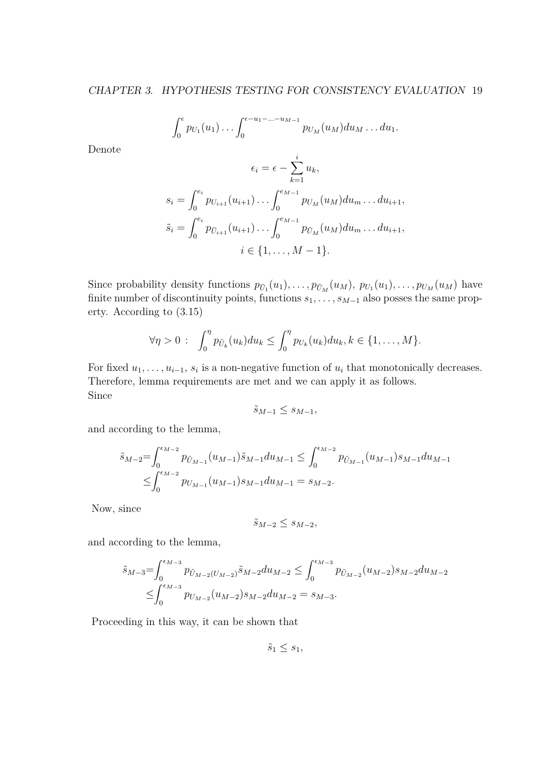$$
\int_0^{\epsilon} p_{U_1}(u_1)\ldots \int_0^{\epsilon-u_1-\ldots-u_{M-1}} p_{U_M}(u_M) du_M \ldots du_1.
$$

Denote

$$
\epsilon_i = \epsilon - \sum_{k=1}^i u_k,
$$
  
\n
$$
s_i = \int_0^{e_i} p_{U_{i+1}}(u_{i+1}) \dots \int_0^{e_{M-1}} p_{U_M}(u_M) du_m \dots du_{i+1},
$$
  
\n
$$
\tilde{s}_i = \int_0^{e_i} p_{\tilde{U}_{i+1}}(u_{i+1}) \dots \int_0^{e_{M-1}} p_{\tilde{U}_M}(u_M) du_m \dots du_{i+1},
$$
  
\n
$$
i \in \{1, \dots, M-1\}.
$$

Since probability density functions  $p_{\tilde{U}_1}(u_1), \ldots, p_{\tilde{U}_M}(u_M), p_{U_1}(u_1), \ldots, p_{U_M}(u_M)$  have finite number of discontinuity points, functions  $s_1, \ldots, s_{M-1}$  also posses the same property. According to (3.15)

$$
\forall \eta > 0 \; : \; \int_0^{\eta} p_{\tilde{U}_k}(u_k) du_k \leq \int_0^{\eta} p_{U_k}(u_k) du_k, k \in \{1, \ldots, M\}.
$$

For fixed  $u_1, \ldots, u_{i-1}, s_i$  is a non-negative function of  $u_i$  that monotonically decreases. Therefore, lemma requirements are met and we can apply it as follows. Since

$$
\tilde{s}_{M-1} \le s_{M-1},
$$

and according to the lemma,

$$
\tilde{s}_{M-2} = \int_0^{\epsilon_{M-2}} p_{\tilde{U}_{M-1}}(u_{M-1}) \tilde{s}_{M-1} du_{M-1} \le \int_0^{\epsilon_{M-2}} p_{\tilde{U}_{M-1}}(u_{M-1}) s_{M-1} du_{M-1}
$$
  

$$
\le \int_0^{\epsilon_{M-2}} p_{U_{M-1}}(u_{M-1}) s_{M-1} du_{M-1} = s_{M-2}.
$$

Now, since

$$
\tilde{s}_{M-2} \le s_{M-2},
$$

and according to the lemma,

$$
\tilde{s}_{M-3} = \int_0^{\epsilon_{M-3}} p_{\tilde{U}_{M-2}(U_{M-2})} \tilde{s}_{M-2} du_{M-2} \le \int_0^{\epsilon_{M-3}} p_{\tilde{U}_{M-2}}(u_{M-2}) s_{M-2} du_{M-2}
$$
  

$$
\le \int_0^{\epsilon_{M-3}} p_{U_{M-2}}(u_{M-2}) s_{M-2} du_{M-2} = s_{M-3}.
$$

Proceeding in this way, it can be shown that

 $\tilde{s}_1 \leq s_1$ ,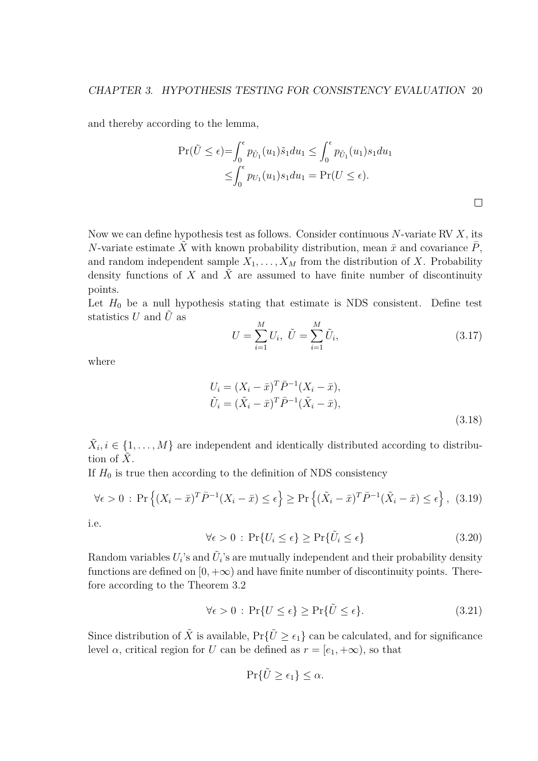and thereby according to the lemma,

$$
\Pr(\tilde{U} \le \epsilon) = \int_0^{\epsilon} p_{\tilde{U}_1}(u_1) \tilde{s}_1 du_1 \le \int_0^{\epsilon} p_{\tilde{U}_1}(u_1) s_1 du_1
$$
  

$$
\le \int_0^{\epsilon} p_{U_1}(u_1) s_1 du_1 = \Pr(U \le \epsilon).
$$

Now we can define hypothesis test as follows. Consider continuous *N*-variate RV *X*, its *N*-variate estimate  $\tilde{X}$  with known probability distribution, mean  $\bar{x}$  and covariance  $\bar{P}$ , and random independent sample  $X_1, \ldots, X_M$  from the distribution of *X*. Probability density functions of *X* and *X*˜ are assumed to have finite number of discontinuity points.

Let  $H_0$  be a null hypothesis stating that estimate is NDS consistent. Define test statistics  $U$  and  $\tilde{U}$  as

$$
U = \sum_{i=1}^{M} U_i, \ \tilde{U} = \sum_{i=1}^{M} \tilde{U}_i,
$$
\n(3.17)

 $\Box$ 

where

$$
U_i = (X_i - \bar{x})^T \bar{P}^{-1} (X_i - \bar{x}),
$$
  
\n
$$
\tilde{U}_i = (\tilde{X}_i - \bar{x})^T \bar{P}^{-1} (\tilde{X}_i - \bar{x}),
$$
\n(3.18)

 $\tilde{X}_i, i \in \{1, ..., M\}$  are independent and identically distributed according to distribution of  $X$ .

If  $H_0$  is true then according to the definition of NDS consistency

$$
\forall \epsilon > 0 : \Pr\left\{ (X_i - \bar{x})^T \bar{P}^{-1} (X_i - \bar{x}) \le \epsilon \right\} \ge \Pr\left\{ (\tilde{X}_i - \bar{x})^T \bar{P}^{-1} (\tilde{X}_i - \bar{x}) \le \epsilon \right\}, (3.19)
$$

i.e.

$$
\forall \epsilon > 0 : \Pr\{U_i \le \epsilon\} \ge \Pr\{\tilde{U}_i \le \epsilon\}
$$
\n(3.20)

Random variables  $U_i$ 's and  $\tilde{U}_i$ 's are mutually independent and their probability density functions are defined on  $[0, +\infty)$  and have finite number of discontinuity points. Therefore according to the Theorem 3.2

$$
\forall \epsilon > 0 : \Pr\{U \le \epsilon\} \ge \Pr\{\tilde{U} \le \epsilon\}.
$$
\n(3.21)

Since distribution of  $\tilde{X}$  is available,  $Pr{\{\tilde{U} \ge \epsilon_1\}}$  can be calculated, and for significance level *α*, critical region for *U* can be defined as  $r = [e_1, +\infty)$ , so that

$$
\Pr\{\tilde{U}\geq\epsilon_1\}\leq\alpha.
$$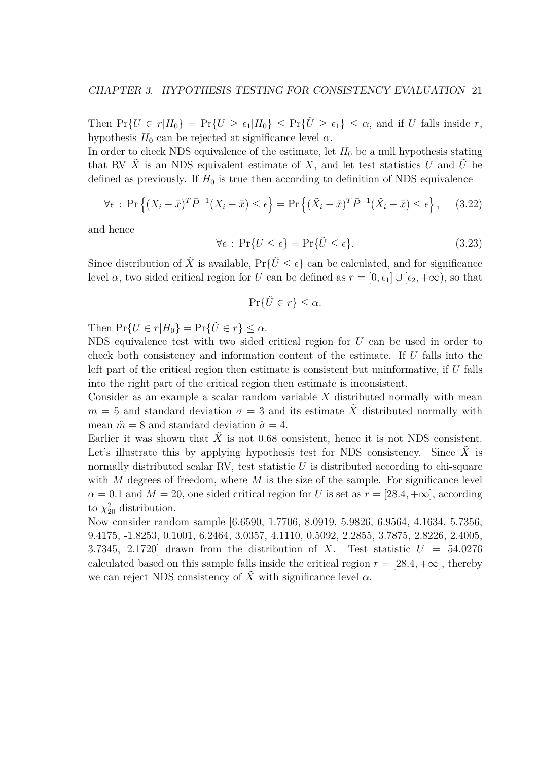Then  $Pr{U \in r | H_0}$  =  $Pr{U \ge \epsilon_1 | H_0}$   $\le Pr{U \ge \epsilon_1} \le \alpha$ , and if U falls inside r, hypothesis  $H_0$  can be rejected at significance level  $\alpha$ .

In order to check NDS equivalence of the estimate, let  $H_0$  be a null hypothesis stating that RV  $\tilde{X}$  is an NDS equivalent estimate of  $X$ , and let test statistics  $U$  and  $\tilde{U}$  be defined as previously. If  $H_0$  is true then according to definition of NDS equivalence

$$
\forall \epsilon : \Pr\left\{ (X_i - \bar{x})^T \bar{P}^{-1} (X_i - \bar{x}) \le \epsilon \right\} = \Pr\left\{ (\tilde{X}_i - \bar{x})^T \bar{P}^{-1} (\tilde{X}_i - \bar{x}) \le \epsilon \right\}, \quad (3.22)
$$

and hence

$$
\forall \epsilon : \Pr\{U \le \epsilon\} = \Pr\{\tilde{U} \le \epsilon\}.
$$
\n(3.23)

Since distribution of  $\tilde{X}$  is available,  $Pr{\{\tilde{U} \leq \epsilon\}}$  can be calculated, and for significance level *α*, two sided critical region for *U* can be defined as *r* = [0*, ϵ*1] *∪* [*ϵ*2*,* +*∞*), so that

$$
\Pr\{\tilde{U}\in r\}\leq\alpha.
$$

Then  $\Pr\{U \in r | H_0\} = \Pr\{\tilde{U} \in r\} \leq \alpha$ .

NDS equivalence test with two sided critical region for *U* can be used in order to check both consistency and information content of the estimate. If *U* falls into the left part of the critical region then estimate is consistent but uninformative, if *U* falls into the right part of the critical region then estimate is inconsistent.

Consider as an example a scalar random variable *X* distributed normally with mean  $m = 5$  and standard deviation  $\sigma = 3$  and its estimate  $\tilde{X}$  distributed normally with mean  $\tilde{m} = 8$  and standard deviation  $\tilde{\sigma} = 4$ .

Earlier it was shown that  $X$  is not 0.68 consistent, hence it is not NDS consistent. Let's illustrate this by applying hypothesis test for NDS consistency. Since  $\tilde{X}$  is normally distributed scalar RV, test statistic *U* is distributed according to chi-square with *M* degrees of freedom, where *M* is the size of the sample. For significance level  $\alpha = 0.1$  and  $M = 20$ , one sided critical region for *U* is set as  $r = [28.4, +\infty]$ , according to  $\chi_{20}^2$  distribution.

Now consider random sample [6.6590, 1.7706, 8.0919, 5.9826, 6.9564, 4.1634, 5.7356, 9.4175, -1.8253, 0.1001, 6.2464, 3.0357, 4.1110, 0.5092, 2.2855, 3.7875, 2.8226, 2.4005, 3.7345, 2.1720] drawn from the distribution of *X*. Test statistic *U* = 54*.*0276 calculated based on this sample falls inside the critical region  $r = [28.4, +\infty]$ , thereby we can reject NDS consistency of  $\tilde{X}$  with significance level  $\alpha$ .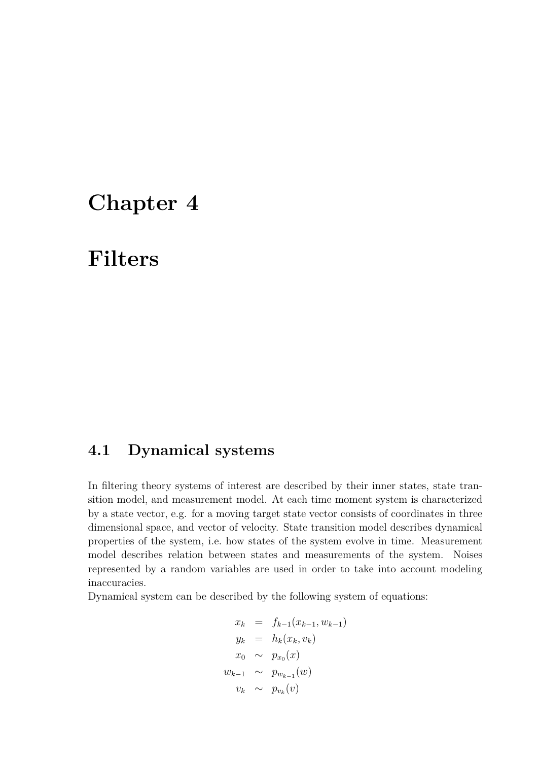## **Chapter 4**

## **Filters**

## **4.1 Dynamical systems**

In filtering theory systems of interest are described by their inner states, state transition model, and measurement model. At each time moment system is characterized by a state vector, e.g. for a moving target state vector consists of coordinates in three dimensional space, and vector of velocity. State transition model describes dynamical properties of the system, i.e. how states of the system evolve in time. Measurement model describes relation between states and measurements of the system. Noises represented by a random variables are used in order to take into account modeling inaccuracies.

Dynamical system can be described by the following system of equations:

$$
x_k = f_{k-1}(x_{k-1}, w_{k-1})
$$
  
\n
$$
y_k = h_k(x_k, v_k)
$$
  
\n
$$
x_0 \sim p_{x_0}(x)
$$
  
\n
$$
w_{k-1} \sim p_{w_{k-1}}(w)
$$
  
\n
$$
v_k \sim p_{v_k}(v)
$$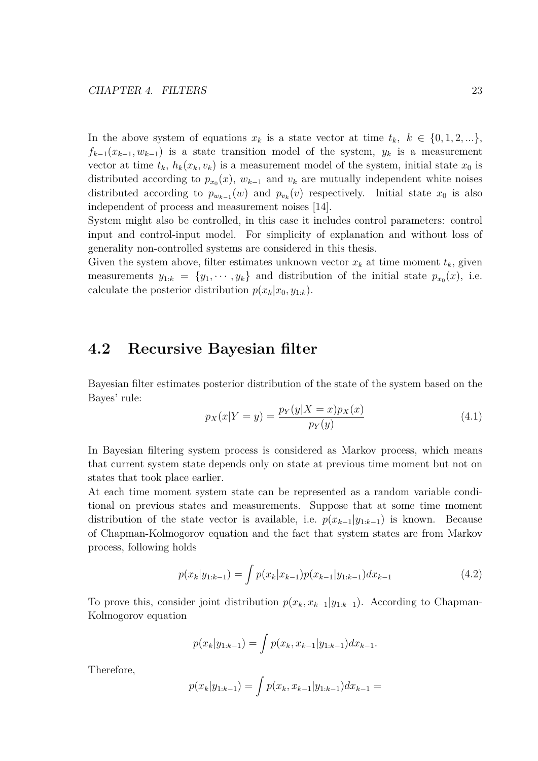In the above system of equations  $x_k$  is a state vector at time  $t_k$ ,  $k \in \{0, 1, 2, ...\}$ ,  $f_{k-1}(x_{k-1}, w_{k-1})$  is a state transition model of the system,  $y_k$  is a measurement vector at time  $t_k$ ,  $h_k(x_k, v_k)$  is a measurement model of the system, initial state  $x_0$  is distributed according to  $p_{x_0}(x)$ ,  $w_{k-1}$  and  $v_k$  are mutually independent white noises distributed according to  $p_{w_{k-1}}(w)$  and  $p_{v_k}(v)$  respectively. Initial state  $x_0$  is also independent of process and measurement noises [14].

System might also be controlled, in this case it includes control parameters: control input and control-input model. For simplicity of explanation and without loss of generality non-controlled systems are considered in this thesis.

Given the system above, filter estimates unknown vector  $x_k$  at time moment  $t_k$ , given measurements  $y_{1:k} = \{y_1, \dots, y_k\}$  and distribution of the initial state  $p_{x_0}(x)$ , i.e. calculate the posterior distribution  $p(x_k|x_0, y_{1:k})$ .

### **4.2 Recursive Bayesian filter**

Bayesian filter estimates posterior distribution of the state of the system based on the Bayes' rule:

$$
p_X(x|Y = y) = \frac{p_Y(y|X = x)p_X(x)}{p_Y(y)}
$$
\n(4.1)

In Bayesian filtering system process is considered as Markov process, which means that current system state depends only on state at previous time moment but not on states that took place earlier.

At each time moment system state can be represented as a random variable conditional on previous states and measurements. Suppose that at some time moment distribution of the state vector is available, i.e.  $p(x_{k-1}|y_{1:k-1})$  is known. Because of Chapman-Kolmogorov equation and the fact that system states are from Markov process, following holds

$$
p(x_k|y_{1:k-1}) = \int p(x_k|x_{k-1})p(x_{k-1}|y_{1:k-1})dx_{k-1}
$$
\n(4.2)

To prove this, consider joint distribution  $p(x_k, x_{k-1}|y_{1:k-1})$ . According to Chapman-Kolmogorov equation

$$
p(x_k|y_{1:k-1}) = \int p(x_k, x_{k-1}|y_{1:k-1}) dx_{k-1}.
$$

Therefore,

$$
p(x_k|y_{1:k-1}) = \int p(x_k, x_{k-1}|y_{1:k-1}) dx_{k-1} =
$$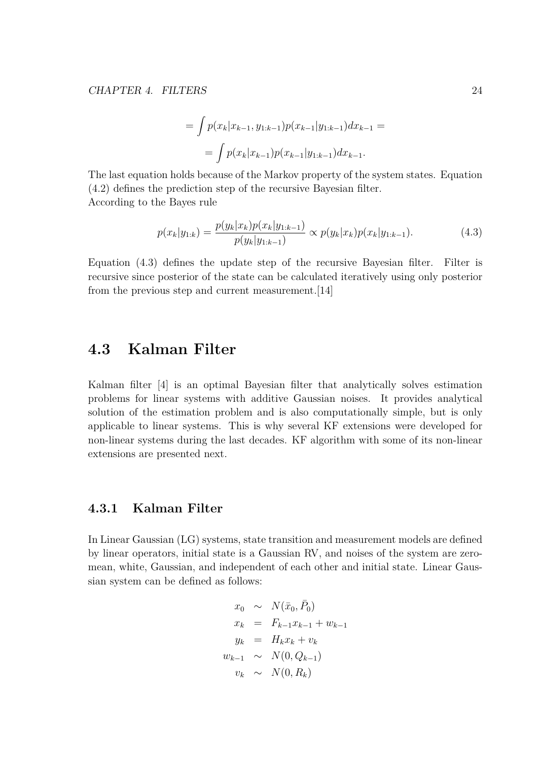$$
= \int p(x_k|x_{k-1}, y_{1:k-1}) p(x_{k-1}|y_{1:k-1}) dx_{k-1} =
$$

$$
= \int p(x_k|x_{k-1}) p(x_{k-1}|y_{1:k-1}) dx_{k-1}.
$$

The last equation holds because of the Markov property of the system states. Equation (4.2) defines the prediction step of the recursive Bayesian filter. According to the Bayes rule

$$
p(x_k|y_{1:k}) = \frac{p(y_k|x_k)p(x_k|y_{1:k-1})}{p(y_k|y_{1:k-1})} \propto p(y_k|x_k)p(x_k|y_{1:k-1}).
$$
\n(4.3)

Equation (4.3) defines the update step of the recursive Bayesian filter. Filter is recursive since posterior of the state can be calculated iteratively using only posterior from the previous step and current measurement.[14]

### **4.3 Kalman Filter**

Kalman filter [4] is an optimal Bayesian filter that analytically solves estimation problems for linear systems with additive Gaussian noises. It provides analytical solution of the estimation problem and is also computationally simple, but is only applicable to linear systems. This is why several KF extensions were developed for non-linear systems during the last decades. KF algorithm with some of its non-linear extensions are presented next.

#### **4.3.1 Kalman Filter**

In Linear Gaussian (LG) systems, state transition and measurement models are defined by linear operators, initial state is a Gaussian RV, and noises of the system are zeromean, white, Gaussian, and independent of each other and initial state. Linear Gaussian system can be defined as follows:

$$
x_0 \sim N(\bar{x}_0, \bar{P}_0)
$$
  
\n
$$
x_k = F_{k-1}x_{k-1} + w_{k-1}
$$
  
\n
$$
y_k = H_kx_k + v_k
$$
  
\n
$$
w_{k-1} \sim N(0, Q_{k-1})
$$
  
\n
$$
v_k \sim N(0, R_k)
$$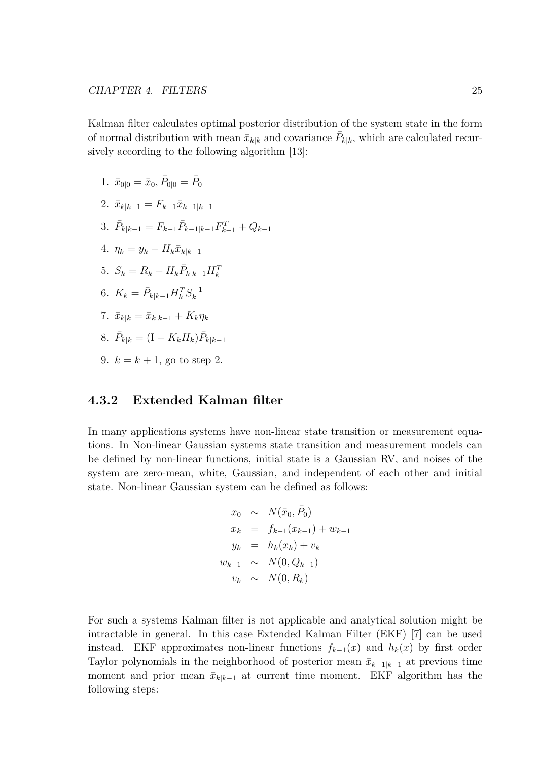Kalman filter calculates optimal posterior distribution of the system state in the form of normal distribution with mean  $\bar{x}_{k|k}$  and covariance  $\bar{P}_{k|k}$ , which are calculated recursively according to the following algorithm [13]:

- 1.  $\bar{x}_{0|0} = \bar{x}_0, \bar{P}_{0|0} = \bar{P}_0$
- $2. \ \bar{x}_{k|k-1} = F_{k-1} \bar{x}_{k-1|k-1}$
- 3.  $\bar{P}_{k|k-1} = F_{k-1}\bar{P}_{k-1|k-1}F_{k-1}^T + Q_{k-1}$
- $4. \eta_k = y_k H_k \bar{x}_{k|k-1}$
- 5.  $S_k = R_k + H_k \bar{P}_{k|k-1} H_k^T$
- 6.  $K_k = \bar{P}_{k|k-1} H_k^T S_k^{-1}$
- $7. \ \ \bar{x}_{k|k} = \bar{x}_{k|k-1} + K_k \eta_k$
- $\overline{P}_{k|k} = (I K_k H_k) \overline{P}_{k|k-1}$
- 9.  $k = k + 1$ , go to step 2.

#### **4.3.2 Extended Kalman filter**

In many applications systems have non-linear state transition or measurement equations. In Non-linear Gaussian systems state transition and measurement models can be defined by non-linear functions, initial state is a Gaussian RV, and noises of the system are zero-mean, white, Gaussian, and independent of each other and initial state. Non-linear Gaussian system can be defined as follows:

$$
x_0 \sim N(\bar{x}_0, \bar{P}_0)
$$
  
\n
$$
x_k = f_{k-1}(x_{k-1}) + w_{k-1}
$$
  
\n
$$
y_k = h_k(x_k) + v_k
$$
  
\n
$$
w_{k-1} \sim N(0, Q_{k-1})
$$
  
\n
$$
v_k \sim N(0, R_k)
$$

For such a systems Kalman filter is not applicable and analytical solution might be intractable in general. In this case Extended Kalman Filter (EKF) [7] can be used instead. EKF approximates non-linear functions  $f_{k-1}(x)$  and  $h_k(x)$  by first order Taylor polynomials in the neighborhood of posterior mean  $\bar{x}_{k-1|k-1}$  at previous time moment and prior mean  $\bar{x}_{k|k-1}$  at current time moment. EKF algorithm has the following steps: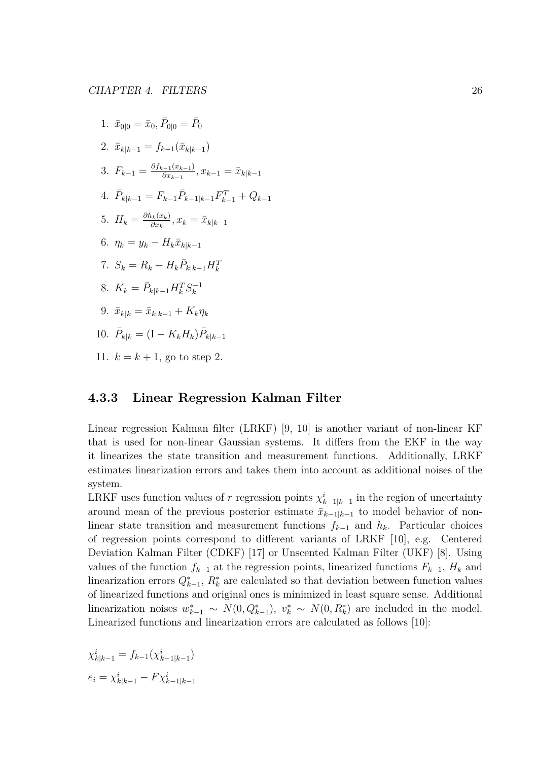1. 
$$
\bar{x}_{0|0} = \bar{x}_0, \bar{P}_{0|0} = \bar{P}_0
$$
  
\n2.  $\bar{x}_{k|k-1} = f_{k-1}(\bar{x}_{k|k-1})$   
\n3.  $F_{k-1} = \frac{\partial f_{k-1}(x_{k-1})}{\partial x_{k-1}}, x_{k-1} = \bar{x}_{k|k-1}$   
\n4.  $\bar{P}_{k|k-1} = F_{k-1}\bar{P}_{k-1|k-1}F_{k-1}^T + Q_{k-1}$   
\n5.  $H_k = \frac{\partial h_k(x_k)}{\partial x_k}, x_k = \bar{x}_{k|k-1}$   
\n6.  $\eta_k = y_k - H_k\bar{x}_{k|k-1}$   
\n7.  $S_k = R_k + H_k\bar{P}_{k|k-1}H_k^T$   
\n8.  $K_k = \bar{P}_{k|k-1}H_k^TS_k^{-1}$   
\n9.  $\bar{x}_{k|k} = \bar{x}_{k|k-1} + K_k\eta_k$   
\n10.  $\bar{P}_{k|k} = (I - K_kH_k)\bar{P}_{k|k-1}$   
\n11.  $k = k + 1$ , go to step 2.

#### **4.3.3 Linear Regression Kalman Filter**

Linear regression Kalman filter (LRKF) [9, 10] is another variant of non-linear KF that is used for non-linear Gaussian systems. It differs from the EKF in the way it linearizes the state transition and measurement functions. Additionally, LRKF estimates linearization errors and takes them into account as additional noises of the system.

LRKF uses function values of *r* regression points  $\chi^i_{k-1|k-1}$  in the region of uncertainty around mean of the previous posterior estimate  $\bar{x}_{k-1|k-1}$  to model behavior of nonlinear state transition and measurement functions *f<sup>k</sup>−*<sup>1</sup> and *hk*. Particular choices of regression points correspond to different variants of LRKF [10], e.g. Centered Deviation Kalman Filter (CDKF) [17] or Unscented Kalman Filter (UKF) [8]. Using values of the function  $f_{k-1}$  at the regression points, linearized functions  $F_{k-1}$ ,  $H_k$  and linearization errors  $Q_{k-1}^*$ ,  $R_k^*$  are calculated so that deviation between function values of linearized functions and original ones is minimized in least square sense. Additional linearization noises  $w_{k-1}^* \sim N(0, Q_{k-1}^*), v_k^* \sim N(0, R_k^*)$  are included in the model. Linearized functions and linearization errors are calculated as follows [10]:

$$
\chi_{k|k-1}^i = f_{k-1}(\chi_{k-1|k-1}^i)
$$
  

$$
e_i = \chi_{k|k-1}^i - F\chi_{k-1|k-1}^i
$$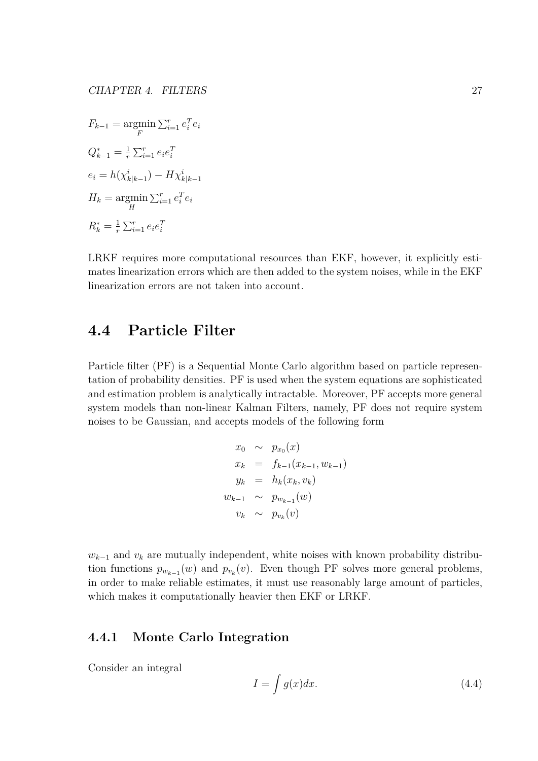$F_{k-1} = \underset{F}{\text{argmin}}$  $\sum_{i=1}^r e_i^T e_i$  $Q_{k-1}^* = \frac{1}{r}$  $\frac{1}{r} \sum_{i=1}^{r} e_i e_i^T$  $e_i = h(\chi^i_{k|k-1}) - H\chi^i_{k|k-1}$  $H_k = \underset{H}{\text{argmin}}$  $\sum_{i=1}^r e_i^T e_i$  $R_k^* = \frac{1}{r}$  $\frac{1}{r} \sum_{i=1}^{r} e_i e_i^T$ 

LRKF requires more computational resources than EKF, however, it explicitly estimates linearization errors which are then added to the system noises, while in the EKF linearization errors are not taken into account.

## **4.4 Particle Filter**

Particle filter (PF) is a Sequential Monte Carlo algorithm based on particle representation of probability densities. PF is used when the system equations are sophisticated and estimation problem is analytically intractable. Moreover, PF accepts more general system models than non-linear Kalman Filters, namely, PF does not require system noises to be Gaussian, and accepts models of the following form

$$
x_0 \sim p_{x_0}(x)
$$
  
\n
$$
x_k = f_{k-1}(x_{k-1}, w_{k-1})
$$
  
\n
$$
y_k = h_k(x_k, v_k)
$$
  
\n
$$
w_{k-1} \sim p_{w_{k-1}}(w)
$$
  
\n
$$
v_k \sim p_{v_k}(v)
$$

 $w_{k-1}$  and  $v_k$  are mutually independent, white noises with known probability distribution functions  $p_{w_{k-1}}(w)$  and  $p_{v_k}(v)$ . Even though PF solves more general problems, in order to make reliable estimates, it must use reasonably large amount of particles, which makes it computationally heavier then EKF or LRKF.

#### **4.4.1 Monte Carlo Integration**

Consider an integral

$$
I = \int g(x)dx.
$$
 (4.4)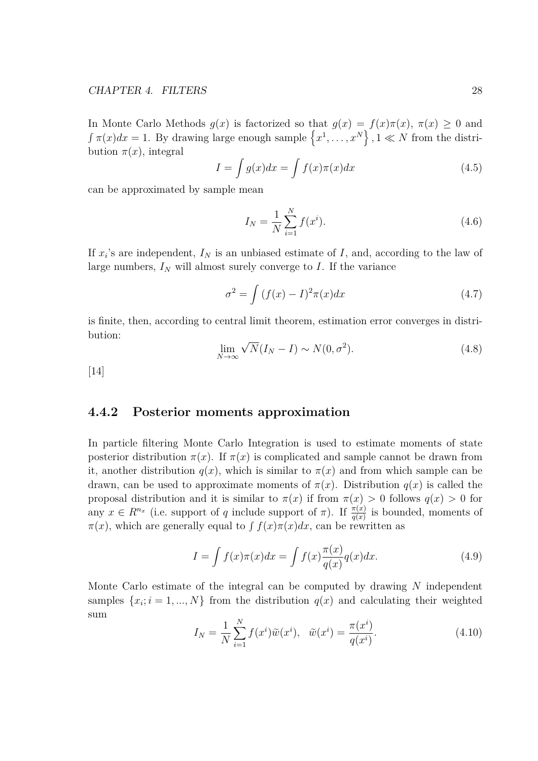In Monte Carlo Methods  $g(x)$  is factorized so that  $g(x) = f(x)\pi(x)$ ,  $\pi(x) \geq 0$  and  $\int \pi(x)dx = 1$ . By drawing large enough sample  $\{x^1, \ldots, x^N\}$ ,  $1 \ll N$  from the distribution  $\pi(x)$ , integral

$$
I = \int g(x)dx = \int f(x)\pi(x)dx
$$
\n(4.5)

can be approximated by sample mean

$$
I_N = \frac{1}{N} \sum_{i=1}^{N} f(x^i).
$$
\n(4.6)

If  $x_i$ 's are independent,  $I_N$  is an unbiased estimate of  $I$ , and, according to the law of large numbers,  $I_N$  will almost surely converge to  $I$ . If the variance

$$
\sigma^2 = \int (f(x) - I)^2 \pi(x) dx \tag{4.7}
$$

is finite, then, according to central limit theorem, estimation error converges in distribution: *√*

$$
\lim_{N \to \infty} \sqrt{N} (I_N - I) \sim N(0, \sigma^2). \tag{4.8}
$$

[14]

#### **4.4.2 Posterior moments approximation**

In particle filtering Monte Carlo Integration is used to estimate moments of state posterior distribution  $\pi(x)$ . If  $\pi(x)$  is complicated and sample cannot be drawn from it, another distribution  $q(x)$ , which is similar to  $\pi(x)$  and from which sample can be drawn, can be used to approximate moments of  $\pi(x)$ . Distribution  $q(x)$  is called the proposal distribution and it is similar to  $\pi(x)$  if from  $\pi(x) > 0$  follows  $q(x) > 0$  for any  $x \in R^{n_x}$  (i.e. support of *q* include support of  $\pi$ ). If  $\frac{\pi(x)}{q(x)}$  is bounded, moments of  $\pi(x)$ , which are generally equal to  $\int f(x)\pi(x)dx$ , can be rewritten as

$$
I = \int f(x)\pi(x)dx = \int f(x)\frac{\pi(x)}{q(x)}q(x)dx.
$$
 (4.9)

Monte Carlo estimate of the integral can be computed by drawing *N* independent samples  $\{x_i; i = 1, ..., N\}$  from the distribution  $q(x)$  and calculating their weighted sum

$$
I_N = \frac{1}{N} \sum_{i=1}^{N} f(x^i) \tilde{w}(x^i), \quad \tilde{w}(x^i) = \frac{\pi(x^i)}{q(x^i)}.
$$
 (4.10)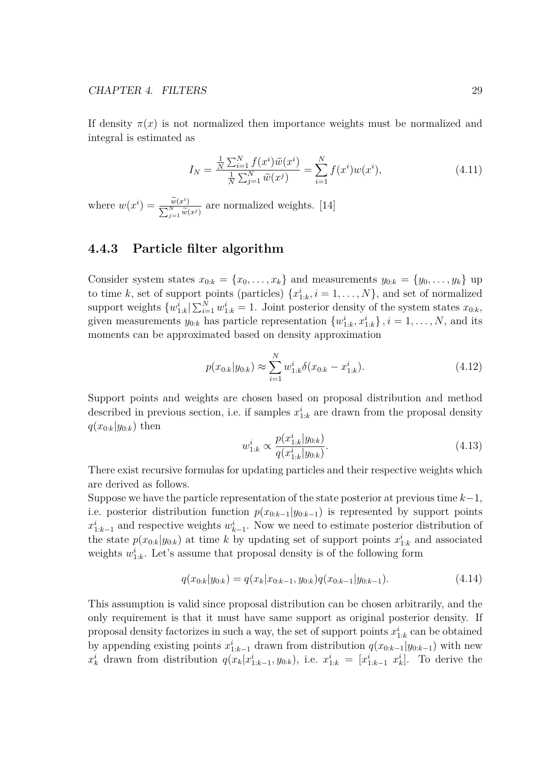If density  $\pi(x)$  is not normalized then importance weights must be normalized and integral is estimated as

$$
I_N = \frac{\frac{1}{N} \sum_{i=1}^N f(x^i) \tilde{w}(x^i)}{\frac{1}{N} \sum_{j=1}^N \tilde{w}(x^j)} = \sum_{i=1}^N f(x^i) w(x^i), \qquad (4.11)
$$

where  $w(x^i) = \frac{\widetilde{w}(x^i)}{\sum_{i=1}^{N} x^i}$ ∑  $\frac{w(x^i)}{N}$ <br> *j*=1  $\widetilde{w}(x^j)$ are normalized weights. [14]

#### **4.4.3 Particle filter algorithm**

Consider system states  $x_{0:k} = \{x_0, \ldots, x_k\}$  and measurements  $y_{0:k} = \{y_0, \ldots, y_k\}$  up to time *k*, set of support points (particles)  $\{x_{1:k}^i, i = 1, \ldots, N\}$ , and set of normalized support weights  $\{w_{1:k}^i | \sum_{i=1}^N w_{1:k}^i = 1$ . Joint posterior density of the system states  $x_{0:k}$ , given measurements  $y_{0:k}$  has particle representation  $\{w_{1:k}^i, x_{1:k}^i\}$ ,  $i = 1, \ldots, N$ , and its moments can be approximated based on density approximation

$$
p(x_{0:k}|y_{0:k}) \approx \sum_{i=1}^{N} w_{1:k}^i \delta(x_{0:k} - x_{1:k}^i). \tag{4.12}
$$

Support points and weights are chosen based on proposal distribution and method described in previous section, i.e. if samples  $x_{1:k}^i$  are drawn from the proposal density  $q(x_{0:k}|y_{0:k})$  then

$$
w_{1:k}^i \propto \frac{p(x_{1:k}^i|y_{0:k})}{q(x_{1:k}^i|y_{0:k})}.\tag{4.13}
$$

There exist recursive formulas for updating particles and their respective weights which are derived as follows.

Suppose we have the particle representation of the state posterior at previous time *k−*1, i.e. posterior distribution function  $p(x_{0:k-1}|y_{0:k-1})$  is represented by support points  $x_{1:k-1}^i$  and respective weights  $w_{k-1}^i$ . Now we need to estimate posterior distribution of the state  $p(x_{0:k}|y_{0:k})$  at time *k* by updating set of support points  $x_{1:k}^i$  and associated weights  $w_{1:k}^i$ . Let's assume that proposal density is of the following form

$$
q(x_{0:k}|y_{0:k}) = q(x_k|x_{0:k-1}, y_{0:k})q(x_{0:k-1}|y_{0:k-1}).
$$
\n(4.14)

This assumption is valid since proposal distribution can be chosen arbitrarily, and the only requirement is that it must have same support as original posterior density. If proposal density factorizes in such a way, the set of support points  $x_{1:k}^i$  can be obtained by appending existing points  $x_{1:k-1}^i$  drawn from distribution  $q(x_{0:k-1}|y_{0:k-1})$  with new  $x_k^i$  drawn from distribution  $q(x_k|x_{1:k-1}^i,y_{0:k})$ , i.e.  $x_{1:k}^i = [x_{1:k-1}^i \ x_k^i]$ . To derive the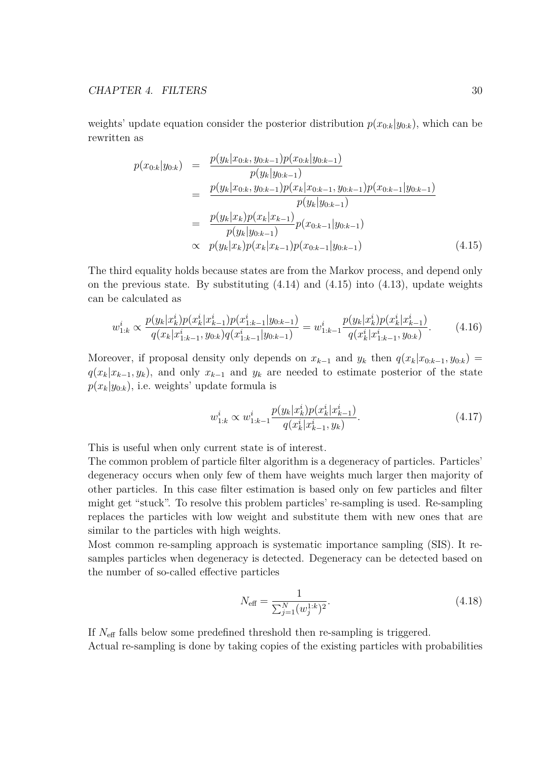weights' update equation consider the posterior distribution  $p(x_{0:k}|y_{0:k})$ , which can be rewritten as

$$
p(x_{0:k}|y_{0:k}) = \frac{p(y_k|x_{0:k}, y_{0:k-1})p(x_{0:k}|y_{0:k-1})}{p(y_k|y_{0:k-1})}
$$
  
\n
$$
= \frac{p(y_k|x_{0:k}, y_{0:k-1})p(x_k|x_{0:k-1}, y_{0:k-1})p(x_{0:k-1}|y_{0:k-1})}{p(y_k|y_{0:k-1})}
$$
  
\n
$$
= \frac{p(y_k|x_k)p(x_k|x_{k-1})}{p(y_k|y_{0:k-1})}p(x_{0:k-1}|y_{0:k-1})
$$
  
\n
$$
\propto p(y_k|x_k)p(x_k|x_{k-1})p(x_{0:k-1}|y_{0:k-1})
$$
\n(4.15)

The third equality holds because states are from the Markov process, and depend only on the previous state. By substituting  $(4.14)$  and  $(4.15)$  into  $(4.13)$ , update weights can be calculated as

$$
w_{1:k}^i \propto \frac{p(y_k|x_k^i)p(x_k^i|x_{k-1}^i)p(x_{1:k-1}^i|y_{0:k-1})}{q(x_k|x_{1:k-1}^i,y_{0:k})q(x_{1:k-1}^i|y_{0:k-1})} = w_{1:k-1}^i \frac{p(y_k|x_k^i)p(x_k^i|x_{k-1}^i)}{q(x_k^i|x_{1:k-1}^i,y_{0:k})}.
$$
 (4.16)

Moreover, if proposal density only depends on  $x_{k-1}$  and  $y_k$  then  $q(x_k|x_{0:k-1}, y_{0:k})$  $q(x_k|x_{k-1}, y_k)$ , and only  $x_{k-1}$  and  $y_k$  are needed to estimate posterior of the state  $p(x_k|y_{0:k})$ , i.e. weights' update formula is

$$
w_{1:k}^i \propto w_{1:k-1}^i \frac{p(y_k|x_k^i)p(x_k^i|x_{k-1}^i)}{q(x_k^i|x_{k-1}^i, y_k)}.\tag{4.17}
$$

This is useful when only current state is of interest.

The common problem of particle filter algorithm is a degeneracy of particles. Particles' degeneracy occurs when only few of them have weights much larger then majority of other particles. In this case filter estimation is based only on few particles and filter might get "stuck". To resolve this problem particles' re-sampling is used. Re-sampling replaces the particles with low weight and substitute them with new ones that are similar to the particles with high weights.

Most common re-sampling approach is systematic importance sampling (SIS). It resamples particles when degeneracy is detected. Degeneracy can be detected based on the number of so-called effective particles

$$
N_{\text{eff}} = \frac{1}{\sum_{j=1}^{N} (w_j^{1:k})^2}.
$$
\n(4.18)

If *N*eff falls below some predefined threshold then re-sampling is triggered.

Actual re-sampling is done by taking copies of the existing particles with probabilities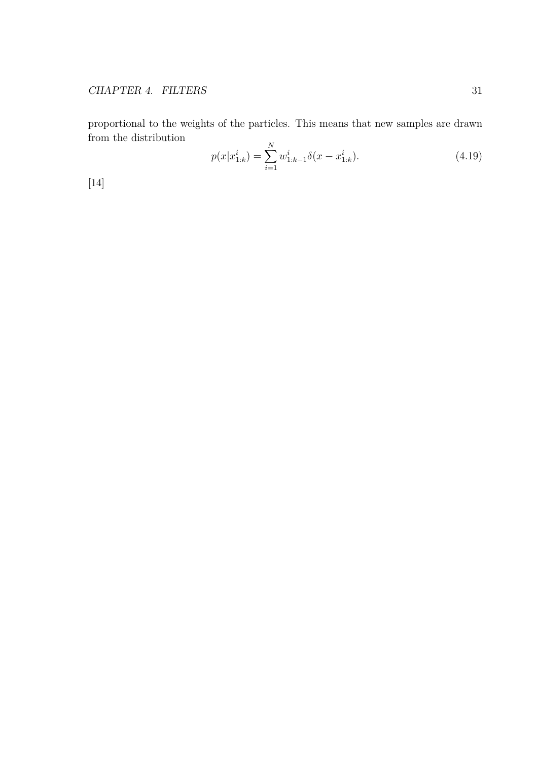proportional to the weights of the particles. This means that new samples are drawn from the distribution *N*

$$
p(x|x_{1:k}^i) = \sum_{i=1}^N w_{1:k-1}^i \delta(x - x_{1:k}^i). \tag{4.19}
$$

[14]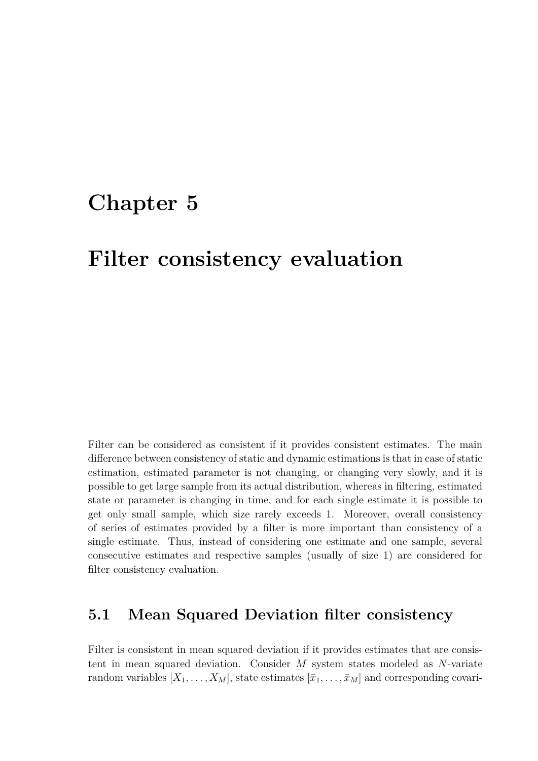## **Chapter 5**

## **Filter consistency evaluation**

Filter can be considered as consistent if it provides consistent estimates. The main difference between consistency of static and dynamic estimations is that in case of static estimation, estimated parameter is not changing, or changing very slowly, and it is possible to get large sample from its actual distribution, whereas in filtering, estimated state or parameter is changing in time, and for each single estimate it is possible to get only small sample, which size rarely exceeds 1. Moreover, overall consistency of series of estimates provided by a filter is more important than consistency of a single estimate. Thus, instead of considering one estimate and one sample, several consecutive estimates and respective samples (usually of size 1) are considered for filter consistency evaluation.

### **5.1 Mean Squared Deviation filter consistency**

Filter is consistent in mean squared deviation if it provides estimates that are consistent in mean squared deviation. Consider *M* system states modeled as *N*-variate random variables  $[X_1, \ldots, X_M]$ , state estimates  $[\bar{x}_1, \ldots, \bar{x}_M]$  and corresponding covari-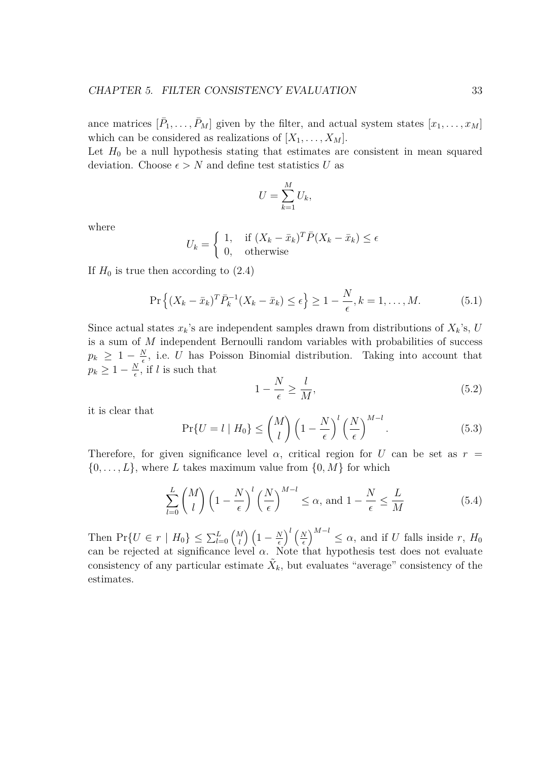ance matrices  $[\bar{P}_1, \ldots, \bar{P}_M]$  given by the filter, and actual system states  $[x_1, \ldots, x_M]$ which can be considered as realizations of  $[X_1, \ldots, X_M]$ .

Let  $H_0$  be a null hypothesis stating that estimates are consistent in mean squared deviation. Choose  $\epsilon > N$  and define test statistics *U* as

$$
U = \sum_{k=1}^{M} U_k,
$$

where

$$
U_k = \begin{cases} 1, & \text{if } (X_k - \bar{x}_k)^T \bar{P}(X_k - \bar{x}_k) \le \epsilon \\ 0, & \text{otherwise} \end{cases}
$$

If  $H_0$  is true then according to  $(2.4)$ 

$$
\Pr\left\{ (X_k - \bar{x}_k)^T \bar{P}_k^{-1} (X_k - \bar{x}_k) \le \epsilon \right\} \ge 1 - \frac{N}{\epsilon}, k = 1, \dots, M. \tag{5.1}
$$

Since actual states  $x_k$ 's are independent samples drawn from distributions of  $X_k$ 's, *U* is a sum of *M* independent Bernoulli random variables with probabilities of success  $p_k$   $\geq 1 - \frac{N}{\epsilon}$  $\frac{N}{\epsilon}$ , i.e. *U* has Poisson Binomial distribution. Taking into account that  $p_k \geq 1 - \frac{N}{\epsilon}$  $\frac{N}{\epsilon}$ , if *l* is such that

$$
1 - \frac{N}{\epsilon} \ge \frac{l}{M},\tag{5.2}
$$

it is clear that

$$
\Pr\{U = l \mid H_0\} \le \binom{M}{l} \left(1 - \frac{N}{\epsilon}\right)^l \left(\frac{N}{\epsilon}\right)^{M-l}.\tag{5.3}
$$

Therefore, for given significance level  $\alpha$ , critical region for *U* can be set as  $r =$  $\{0, \ldots, L\}$ , where *L* takes maximum value from  $\{0, M\}$  for which

$$
\sum_{l=0}^{L} \binom{M}{l} \left(1 - \frac{N}{\epsilon}\right)^l \left(\frac{N}{\epsilon}\right)^{M-l} \le \alpha, \text{ and } 1 - \frac{N}{\epsilon} \le \frac{L}{M} \tag{5.4}
$$

Then  $Pr\{U \in r \mid H_0\} \leq \sum_{l=0}^{L} {M \choose l}$ *l*<sup>*l*</sup></sup> $\left(1 - \frac{N}{\epsilon}\right)$ *ϵ*  $\bigwedge^l$  ( $\mathbf{M}$ ) *ϵ*  $\left(\int_{0}^{M-l} \leq \alpha$ , and if *U* falls inside *r*,  $H_0$ can be rejected at significance level  $\alpha$ . Note that hypothesis test does not evaluate consistency of any particular estimate  $\tilde{X}_k$ , but evaluates "average" consistency of the estimates.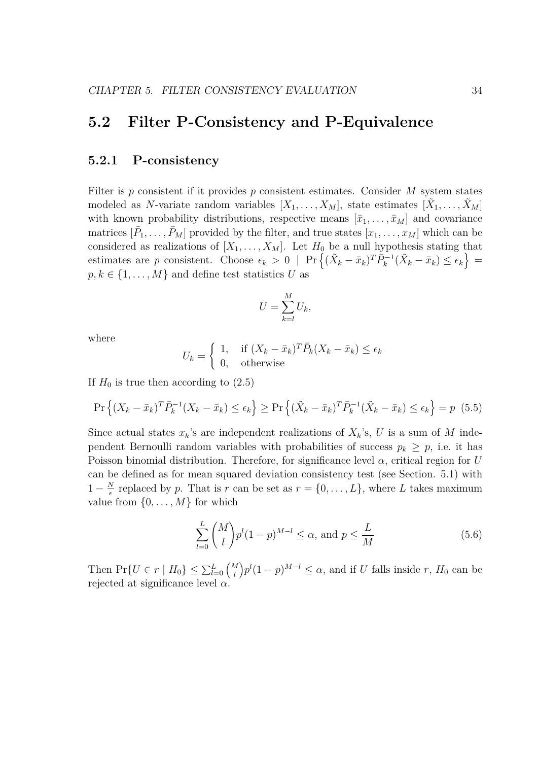### **5.2 Filter P-Consistency and P-Equivalence**

#### **5.2.1 P-consistency**

Filter is *p* consistent if it provides *p* consistent estimates. Consider *M* system states modeled as *N*-variate random variables  $[X_1, \ldots, X_M]$ , state estimates  $[\tilde{X}_1, \ldots, \tilde{X}_M]$ with known probability distributions, respective means  $[\bar{x}_1, \ldots, \bar{x}_M]$  and covariance matrices  $[\bar{P}_1, \ldots, \bar{P}_M]$  provided by the filter, and true states  $[x_1, \ldots, x_M]$  which can be considered as realizations of  $[X_1, \ldots, X_M]$ . Let  $H_0$  be a null hypothesis stating that estimates are p consistent. Choose  $\epsilon_k > 0$  | Pr  $\left\{ (\tilde{X}_k - \bar{x}_k)^T \tilde{P}_k^{-1} (\tilde{X}_k - \bar{x}_k) \leq \epsilon_k \right\}$  =  $p, k \in \{1, \ldots, M\}$  and define test statistics *U* as

$$
U = \sum_{k=l}^{M} U_k,
$$

where

$$
U_k = \begin{cases} 1, & \text{if } (X_k - \bar{x}_k)^T \bar{P}_k (X_k - \bar{x}_k) \le \epsilon_k \\ 0, & \text{otherwise} \end{cases}
$$

If  $H_0$  is true then according to  $(2.5)$ 

$$
\Pr\left\{ (X_k - \bar{x}_k)^T \bar{P}_k^{-1} (X_k - \bar{x}_k) \le \epsilon_k \right\} \ge \Pr\left\{ (\tilde{X}_k - \bar{x}_k)^T \bar{P}_k^{-1} (\tilde{X}_k - \bar{x}_k) \le \epsilon_k \right\} = p \tag{5.5}
$$

Since actual states  $x_k$ 's are independent realizations of  $X_k$ 's,  $U$  is a sum of  $M$  independent Bernoulli random variables with probabilities of success  $p_k \geq p$ , i.e. it has Poisson binomial distribution. Therefore, for significance level *α*, critical region for *U* can be defined as for mean squared deviation consistency test (see Section. 5.1) with  $1-\frac{N}{\epsilon}$  $\frac{N}{\epsilon}$  replaced by *p*. That is *r* can be set as  $r = \{0, \ldots, L\}$ , where *L* takes maximum value from  $\{0, \ldots, M\}$  for which

$$
\sum_{l=0}^{L} {M \choose l} p^l (1-p)^{M-l} \le \alpha, \text{ and } p \le \frac{L}{M}
$$
\n(5.6)

Then  $\Pr\{U \in r \mid H_0\} \leq \sum_{l=0}^{L} \binom{M}{l}$ *l*  $\int p^{l}(1-p)^{M-l} \leq \alpha$ , and if *U* falls inside *r*, *H*<sub>0</sub> can be rejected at significance level *α*.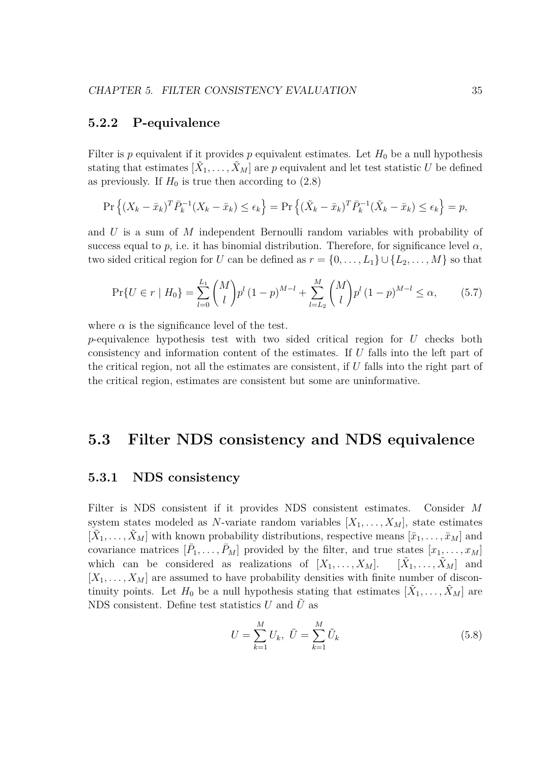#### **5.2.2 P-equivalence**

Filter is *p* equivalent if it provides *p* equivalent estimates. Let  $H_0$  be a null hypothesis stating that estimates  $[\tilde{X}_1, \ldots, \tilde{X}_M]$  are *p* equivalent and let test statistic *U* be defined as previously. If  $H_0$  is true then according to  $(2.8)$ 

$$
\Pr\left\{ (X_k - \bar{x}_k)^T \bar{P}_k^{-1} (X_k - \bar{x}_k) \le \epsilon_k \right\} = \Pr\left\{ (\tilde{X}_k - \bar{x}_k)^T \bar{P}_k^{-1} (\tilde{X}_k - \bar{x}_k) \le \epsilon_k \right\} = p,
$$

and *U* is a sum of *M* independent Bernoulli random variables with probability of success equal to  $p$ , i.e. it has binomial distribution. Therefore, for significance level  $\alpha$ , two sided critical region for *U* can be defined as  $r = \{0, \ldots, L_1\} \cup \{L_2, \ldots, M\}$  so that

$$
\Pr\{U \in r \mid H_0\} = \sum_{l=0}^{L_1} {M \choose l} p^l (1-p)^{M-l} + \sum_{l=L_2}^{M} {M \choose l} p^l (1-p)^{M-l} \le \alpha, \tag{5.7}
$$

where  $\alpha$  is the significance level of the test.

*p*-equivalence hypothesis test with two sided critical region for *U* checks both consistency and information content of the estimates. If *U* falls into the left part of the critical region, not all the estimates are consistent, if *U* falls into the right part of the critical region, estimates are consistent but some are uninformative.

### **5.3 Filter NDS consistency and NDS equivalence**

#### **5.3.1 NDS consistency**

Filter is NDS consistent if it provides NDS consistent estimates. Consider *M* system states modeled as *N*-variate random variables  $[X_1, \ldots, X_M]$ , state estimates  $[\tilde{X}_1, \ldots, \tilde{X}_M]$  with known probability distributions, respective means  $[\bar{x}_1, \ldots, \bar{x}_M]$  and covariance matrices  $[\bar{P}_1, \ldots, \bar{P}_M]$  provided by the filter, and true states  $[x_1, \ldots, x_M]$ which can be considered as realizations of  $[X_1, \ldots, X_M]$ .  $[\tilde{X}_1, \ldots, \tilde{X}_M]$  and  $[X_1, \ldots, X_M]$  are assumed to have probability densities with finite number of discontinuity points. Let  $H_0$  be a null hypothesis stating that estimates  $[\tilde{X}_1, \ldots, \tilde{X}_M]$  are NDS consistent. Define test statistics  $U$  and  $\tilde{U}$  as

$$
U = \sum_{k=1}^{M} U_k, \ \tilde{U} = \sum_{k=1}^{M} \tilde{U}_k
$$
\n(5.8)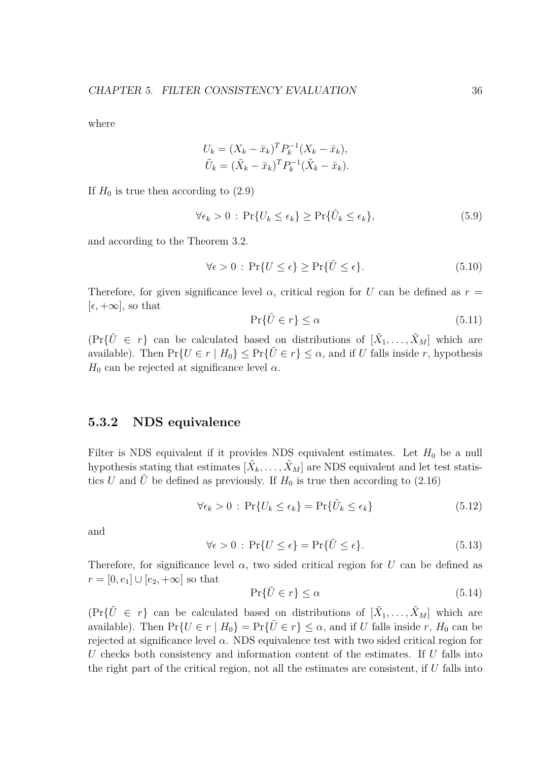where

$$
U_k = (X_k - \bar{x}_k)^T P_k^{-1} (X_k - \bar{x}_k),
$$
  

$$
\tilde{U}_k = (\tilde{X}_k - \bar{x}_k)^T P_k^{-1} (\tilde{X}_k - \bar{x}_k).
$$

If  $H_0$  is true then according to  $(2.9)$ 

$$
\forall \epsilon_k > 0 \, : \, \Pr\{U_k \le \epsilon_k\} \ge \Pr\{\tilde{U}_k \le \epsilon_k\},\tag{5.9}
$$

and according to the Theorem 3.2.

$$
\forall \epsilon > 0 : \Pr\{U \le \epsilon\} \ge \Pr\{\tilde{U} \le \epsilon\}.
$$
\n(5.10)

Therefore, for given significance level  $\alpha$ , critical region for *U* can be defined as  $r =$  $[\epsilon, +\infty]$ , so that

$$
\Pr\{\tilde{U}\in r\}\le\alpha\tag{5.11}
$$

 $(\Pr{\tilde{U} \in r} \text{ can be calculated based on distributions of } [\tilde{X}_1, \ldots, \tilde{X}_M]$  which are available). Then  $Pr\{U \in r \mid H_0\} \leq Pr\{\tilde{U} \in r\} \leq \alpha$ , and if *U* falls inside *r*, hypothesis  $H_0$  can be rejected at significance level  $\alpha$ .

#### **5.3.2 NDS equivalence**

Filter is NDS equivalent if it provides NDS equivalent estimates. Let  $H_0$  be a null hypothesis stating that estimates  $[\tilde{X}_k, \ldots, \tilde{X}_M]$  are NDS equivalent and let test statistics *U* and  $\hat{U}$  be defined as previously. If  $H_0$  is true then according to (2.16)

$$
\forall \epsilon_k > 0 : \Pr\{U_k \le \epsilon_k\} = \Pr\{\tilde{U}_k \le \epsilon_k\} \tag{5.12}
$$

and

$$
\forall \epsilon > 0 : \Pr\{U \le \epsilon\} = \Pr\{\tilde{U} \le \epsilon\}.
$$
\n(5.13)

Therefore, for significance level  $\alpha$ , two sided critical region for *U* can be defined as *r* = [0,  $e_1$ ] ∪ [ $e_2$ , +∞] so that

$$
\Pr\{\tilde{U}\in r\}\le\alpha\tag{5.14}
$$

 $(\Pr{\tilde{U} \in r} \text{ can be calculated based on distributions of } [\tilde{X}_1, \ldots, \tilde{X}_M]$  which are available). Then  $\Pr\{U \in r \mid H_0\} = \Pr\{\tilde{U} \in r\} \leq \alpha$ , and if *U* falls inside *r*,  $H_0$  can be rejected at significance level  $\alpha$ . NDS equivalence test with two sided critical region for *U* checks both consistency and information content of the estimates. If *U* falls into the right part of the critical region, not all the estimates are consistent, if *U* falls into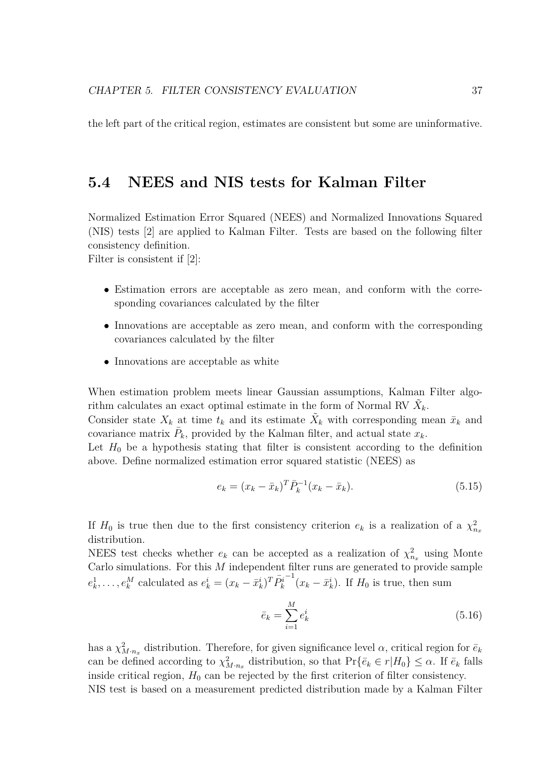the left part of the critical region, estimates are consistent but some are uninformative.

### **5.4 NEES and NIS tests for Kalman Filter**

Normalized Estimation Error Squared (NEES) and Normalized Innovations Squared (NIS) tests [2] are applied to Kalman Filter. Tests are based on the following filter consistency definition.

Filter is consistent if [2]:

- *•* Estimation errors are acceptable as zero mean, and conform with the corresponding covariances calculated by the filter
- Innovations are acceptable as zero mean, and conform with the corresponding covariances calculated by the filter
- *•* Innovations are acceptable as white

When estimation problem meets linear Gaussian assumptions, Kalman Filter algorithm calculates an exact optimal estimate in the form of Normal RV  $\tilde{X}_k$ .

Consider state  $X_k$  at time  $t_k$  and its estimate  $\tilde{X}_k$  with corresponding mean  $\bar{x}_k$  and covariance matrix  $\bar{P}_k$ , provided by the Kalman filter, and actual state  $x_k$ .

Let  $H_0$  be a hypothesis stating that filter is consistent according to the definition above. Define normalized estimation error squared statistic (NEES) as

$$
e_k = (x_k - \bar{x}_k)^T \bar{P}_k^{-1} (x_k - \bar{x}_k). \tag{5.15}
$$

If  $H_0$  is true then due to the first consistency criterion  $e_k$  is a realization of a  $\chi^2_{n_x}$ distribution.

NEES test checks whether  $e_k$  can be accepted as a realization of  $\chi^2_{n_x}$  using Monte Carlo simulations. For this *M* independent filter runs are generated to provide sample  $e_k^1, \ldots, e_k^M$  calculated as  $e_k^i = (x_k - \bar{x}_k^i)^T \bar{P}_k^i$  $\int$ <sup>-1</sup>( $x_k - \bar{x}_k^i$ ). If *H*<sub>0</sub> is true, then sum

$$
\bar{e}_k = \sum_{i=1}^{M} e_k^i \tag{5.16}
$$

has a  $\chi^2_{M \cdot n_x}$  distribution. Therefore, for given significance level  $\alpha$ , critical region for  $\bar{e}_k$ can be defined according to  $\chi^2_{M,n_x}$  distribution, so that  $\Pr{\{\bar{e}_k \in r | H_0\}} \leq \alpha$ . If  $\bar{e}_k$  falls inside critical region,  $H_0$  can be rejected by the first criterion of filter consistency. NIS test is based on a measurement predicted distribution made by a Kalman Filter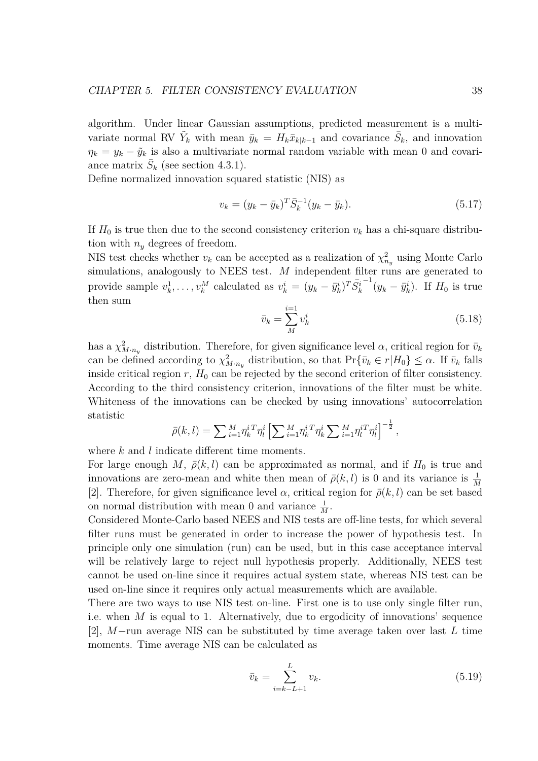algorithm. Under linear Gaussian assumptions, predicted measurement is a multivariate normal RV  $\tilde{Y}_k$  with mean  $\bar{y}_k = H_k \bar{x}_{k|k-1}$  and covariance  $\bar{S}_k$ , and innovation  $\eta_k = y_k - \tilde{y}_k$  is also a multivariate normal random variable with mean 0 and covariance matrix  $\bar{S}_k$  (see section 4.3.1).

Define normalized innovation squared statistic (NIS) as

$$
v_k = (y_k - \bar{y}_k)^T \bar{S}_k^{-1} (y_k - \bar{y}_k). \tag{5.17}
$$

If  $H_0$  is true then due to the second consistency criterion  $v_k$  has a chi-square distribution with  $n_y$  degrees of freedom.

NIS test checks whether  $v_k$  can be accepted as a realization of  $\chi^2_{n_y}$  using Monte Carlo simulations, analogously to NEES test. *M* independent filter runs are generated to provide sample  $v_k^1, \ldots, v_k^M$  calculated as  $v_k^i = (y_k - \bar{y}_k^i)^T \bar{S}_k^i$  $\int_{0}^{-1} (y_k - \bar{y}_k^i)$ . If *H*<sub>0</sub> is true then sum

$$
\bar{v}_k = \sum_{M}^{i=1} v_k^i
$$
\n(5.18)

has a  $\chi^2_{M \cdot n_y}$  distribution. Therefore, for given significance level  $\alpha$ , critical region for  $\bar{v}_k$ can be defined according to  $\chi^2_{M \cdot n_y}$  distribution, so that  $Pr{\{\bar{v}_k \in r | H_0\}} \leq \alpha$ . If  $\bar{v}_k$  falls inside critical region  $r$ ,  $H_0$  can be rejected by the second criterion of filter consistency. According to the third consistency criterion, innovations of the filter must be white. Whiteness of the innovations can be checked by using innovations' autocorrelation statistic

$$
\bar{\rho}(k,l) = \sum_{i=1}^{M} \eta_k^{i} \eta_l^{i} \left[ \sum_{i=1}^{M} \eta_k^{i} \sum_{k=1}^{M} \eta_l^{i} \sum_{i=1}^{M} \eta_l^{i} \eta_l^{i} \right]^{-\frac{1}{2}},
$$

where *k* and *l* indicate different time moments.

For large enough *M*,  $\bar{\rho}(k, l)$  can be approximated as normal, and if  $H_0$  is true and innovations are zero-mean and white then mean of  $\bar{\rho}(k, l)$  is 0 and its variance is  $\frac{1}{M}$ [2]. Therefore, for given significance level  $\alpha$ , critical region for  $\bar{\rho}(k, l)$  can be set based on normal distribution with mean 0 and variance  $\frac{1}{M}$ .

Considered Monte-Carlo based NEES and NIS tests are off-line tests, for which several filter runs must be generated in order to increase the power of hypothesis test. In principle only one simulation (run) can be used, but in this case acceptance interval will be relatively large to reject null hypothesis properly. Additionally, NEES test cannot be used on-line since it requires actual system state, whereas NIS test can be used on-line since it requires only actual measurements which are available.

There are two ways to use NIS test on-line. First one is to use only single filter run, i.e. when *M* is equal to 1. Alternatively, due to ergodicity of innovations' sequence [2], *M−*run average NIS can be substituted by time average taken over last *L* time moments. Time average NIS can be calculated as

$$
\bar{v}_k = \sum_{i=k-L+1}^{L} v_k.
$$
\n(5.19)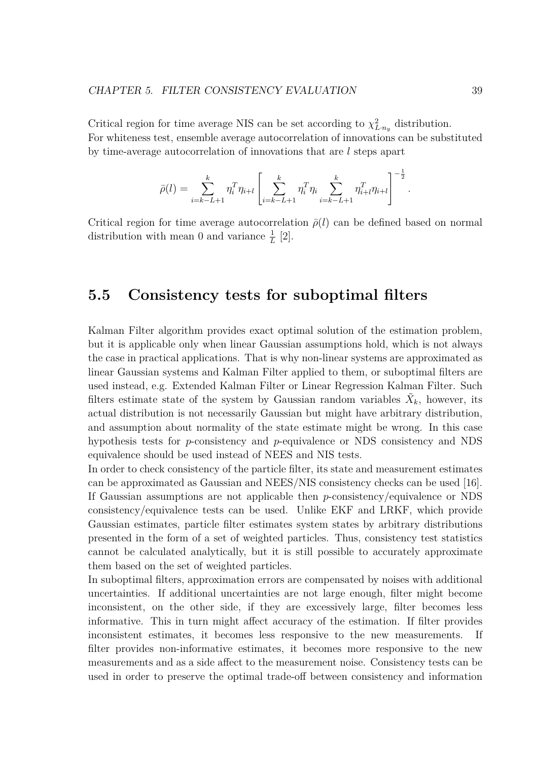Critical region for time average NIS can be set according to  $\chi^2_{L \cdot n_y}$  distribution. For whiteness test, ensemble average autocorrelation of innovations can be substituted by time-average autocorrelation of innovations that are *l* steps apart

$$
\bar{\rho}(l) = \sum_{i=k-L+1}^{k} \eta_i^T \eta_{i+l} \left[ \sum_{i=k-L+1}^{k} \eta_i^T \eta_i \sum_{i=k-L+1}^{k} \eta_{i+l}^T \eta_{i+l} \right]^{-\frac{1}{2}}.
$$

Critical region for time average autocorrelation  $\bar{\rho}(l)$  can be defined based on normal distribution with mean 0 and variance  $\frac{1}{L}$  [2].

### **5.5 Consistency tests for suboptimal filters**

Kalman Filter algorithm provides exact optimal solution of the estimation problem, but it is applicable only when linear Gaussian assumptions hold, which is not always the case in practical applications. That is why non-linear systems are approximated as linear Gaussian systems and Kalman Filter applied to them, or suboptimal filters are used instead, e.g. Extended Kalman Filter or Linear Regression Kalman Filter. Such filters estimate state of the system by Gaussian random variables  $\tilde{X}_k$ , however, its actual distribution is not necessarily Gaussian but might have arbitrary distribution, and assumption about normality of the state estimate might be wrong. In this case hypothesis tests for *p*-consistency and *p*-equivalence or NDS consistency and NDS equivalence should be used instead of NEES and NIS tests.

In order to check consistency of the particle filter, its state and measurement estimates can be approximated as Gaussian and NEES/NIS consistency checks can be used [16]. If Gaussian assumptions are not applicable then *p*-consistency/equivalence or NDS consistency/equivalence tests can be used. Unlike EKF and LRKF, which provide Gaussian estimates, particle filter estimates system states by arbitrary distributions presented in the form of a set of weighted particles. Thus, consistency test statistics cannot be calculated analytically, but it is still possible to accurately approximate them based on the set of weighted particles.

In suboptimal filters, approximation errors are compensated by noises with additional uncertainties. If additional uncertainties are not large enough, filter might become inconsistent, on the other side, if they are excessively large, filter becomes less informative. This in turn might affect accuracy of the estimation. If filter provides inconsistent estimates, it becomes less responsive to the new measurements. If filter provides non-informative estimates, it becomes more responsive to the new measurements and as a side affect to the measurement noise. Consistency tests can be used in order to preserve the optimal trade-off between consistency and information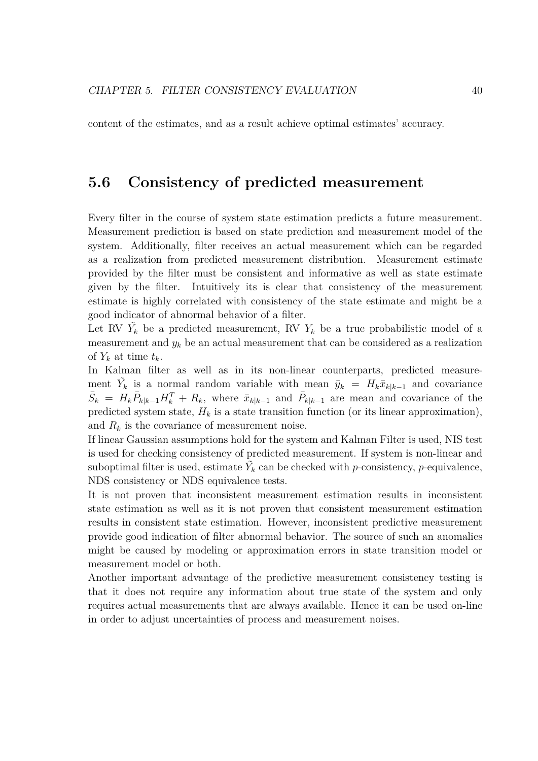content of the estimates, and as a result achieve optimal estimates' accuracy.

### **5.6 Consistency of predicted measurement**

Every filter in the course of system state estimation predicts a future measurement. Measurement prediction is based on state prediction and measurement model of the system. Additionally, filter receives an actual measurement which can be regarded as a realization from predicted measurement distribution. Measurement estimate provided by the filter must be consistent and informative as well as state estimate given by the filter. Intuitively its is clear that consistency of the measurement estimate is highly correlated with consistency of the state estimate and might be a good indicator of abnormal behavior of a filter.

Let RV  $\tilde{Y}_k$  be a predicted measurement, RV  $Y_k$  be a true probabilistic model of a measurement and  $y_k$  be an actual measurement that can be considered as a realization of  $Y_k$  at time  $t_k$ .

In Kalman filter as well as in its non-linear counterparts, predicted measurement  $\tilde{Y}_k$  is a normal random variable with mean  $\bar{y}_k = H_k \bar{x}_{k|k-1}$  and covariance  $\bar{S}_k = H_k \bar{P}_{k|k-1} H_k^T + R_k$ , where  $\bar{x}_{k|k-1}$  and  $\bar{P}_{k|k-1}$  are mean and covariance of the predicted system state,  $H_k$  is a state transition function (or its linear approximation), and  $R_k$  is the covariance of measurement noise.

If linear Gaussian assumptions hold for the system and Kalman Filter is used, NIS test is used for checking consistency of predicted measurement. If system is non-linear and suboptimal filter is used, estimate  $\tilde{Y}_k$  can be checked with *p*-consistency, *p*-equivalence, NDS consistency or NDS equivalence tests.

It is not proven that inconsistent measurement estimation results in inconsistent state estimation as well as it is not proven that consistent measurement estimation results in consistent state estimation. However, inconsistent predictive measurement provide good indication of filter abnormal behavior. The source of such an anomalies might be caused by modeling or approximation errors in state transition model or measurement model or both.

Another important advantage of the predictive measurement consistency testing is that it does not require any information about true state of the system and only requires actual measurements that are always available. Hence it can be used on-line in order to adjust uncertainties of process and measurement noises.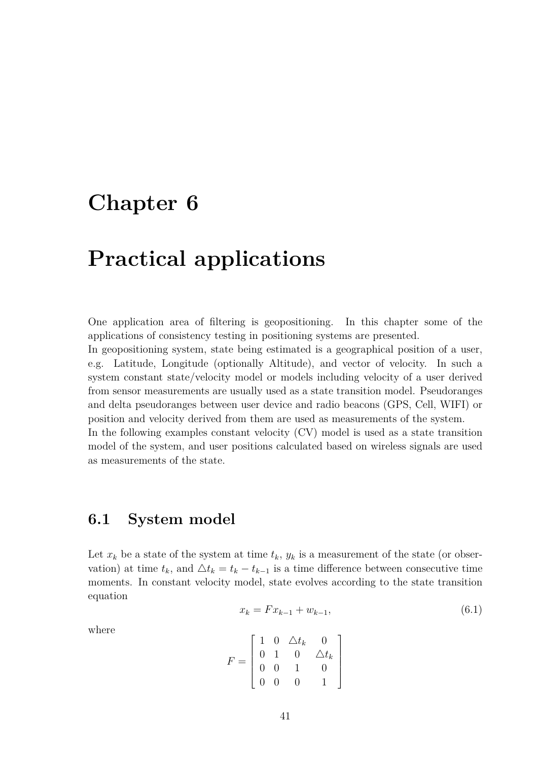## **Chapter 6**

## **Practical applications**

One application area of filtering is geopositioning. In this chapter some of the applications of consistency testing in positioning systems are presented.

In geopositioning system, state being estimated is a geographical position of a user, e.g. Latitude, Longitude (optionally Altitude), and vector of velocity. In such a system constant state/velocity model or models including velocity of a user derived from sensor measurements are usually used as a state transition model. Pseudoranges and delta pseudoranges between user device and radio beacons (GPS, Cell, WIFI) or position and velocity derived from them are used as measurements of the system.

In the following examples constant velocity (CV) model is used as a state transition model of the system, and user positions calculated based on wireless signals are used as measurements of the state.

### **6.1 System model**

Let  $x_k$  be a state of the system at time  $t_k$ ,  $y_k$  is a measurement of the state (or observation) at time  $t_k$ , and  $\Delta t_k = t_k - t_{k-1}$  is a time difference between consecutive time moments. In constant velocity model, state evolves according to the state transition equation

 $x_k = F x_{k-1} + w_{k-1},$  (6.1)

where

$$
F = \left[ \begin{array}{cccc} 1 & 0 & \triangle t_k & 0 \\ 0 & 1 & 0 & \triangle t_k \\ 0 & 0 & 1 & 0 \\ 0 & 0 & 0 & 1 \end{array} \right]
$$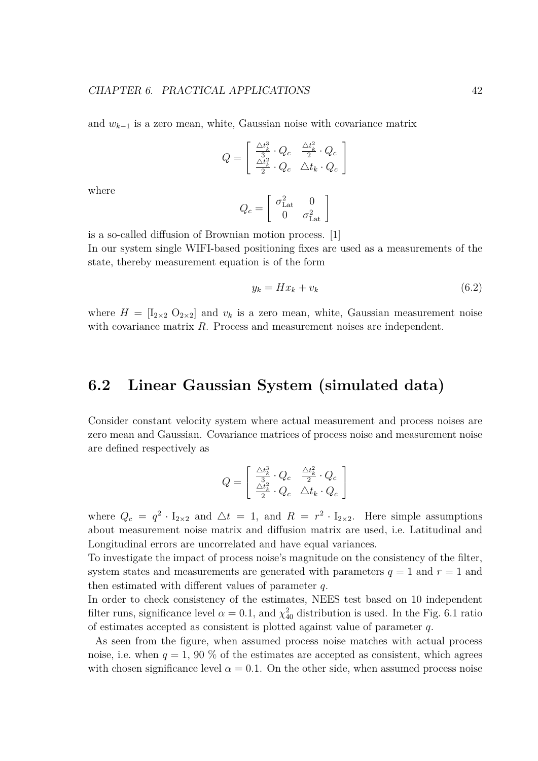and *w<sup>k</sup>−*<sup>1</sup> is a zero mean, white, Gaussian noise with covariance matrix

$$
Q = \begin{bmatrix} \frac{\triangle t_k^3}{3} \cdot Q_c & \frac{\triangle t_k^2}{2} \cdot Q_c \\ \frac{\triangle t_k^2}{2} \cdot Q_c & \triangle t_k \cdot Q_c \end{bmatrix}
$$

where

$$
Q_c = \left[ \begin{array}{cc} \sigma_{\rm Lat}^2 & 0 \\ 0 & \sigma_{\rm Lat}^2 \end{array} \right]
$$

is a so-called diffusion of Brownian motion process. [1]

In our system single WIFI-based positioning fixes are used as a measurements of the state, thereby measurement equation is of the form

$$
y_k = Hx_k + v_k \tag{6.2}
$$

where  $H = [I_{2\times2} O_{2\times2}]$  and  $v_k$  is a zero mean, white, Gaussian measurement noise with covariance matrix R. Process and measurement noises are independent.

### **6.2 Linear Gaussian System (simulated data)**

Consider constant velocity system where actual measurement and process noises are zero mean and Gaussian. Covariance matrices of process noise and measurement noise are defined respectively as

$$
Q = \left[ \begin{array}{cc} \frac{\triangle t_k^3}{3} \cdot Q_c & \frac{\triangle t_k^2}{2} \cdot Q_c \\ \frac{\triangle t_k^2}{2} \cdot Q_c & \triangle t_k \cdot Q_c \end{array} \right]
$$

where  $Q_c = q^2 \cdot I_{2 \times 2}$  and  $\Delta t = 1$ , and  $R = r^2 \cdot I_{2 \times 2}$ . Here simple assumptions about measurement noise matrix and diffusion matrix are used, i.e. Latitudinal and Longitudinal errors are uncorrelated and have equal variances.

To investigate the impact of process noise's magnitude on the consistency of the filter, system states and measurements are generated with parameters  $q = 1$  and  $r = 1$  and then estimated with different values of parameter *q*.

In order to check consistency of the estimates, NEES test based on 10 independent filter runs, significance level  $\alpha = 0.1$ , and  $\chi^2_{40}$  distribution is used. In the Fig. 6.1 ratio of estimates accepted as consistent is plotted against value of parameter *q*.

As seen from the figure, when assumed process noise matches with actual process noise, i.e. when  $q = 1$ , 90 % of the estimates are accepted as consistent, which agrees with chosen significance level  $\alpha = 0.1$ . On the other side, when assumed process noise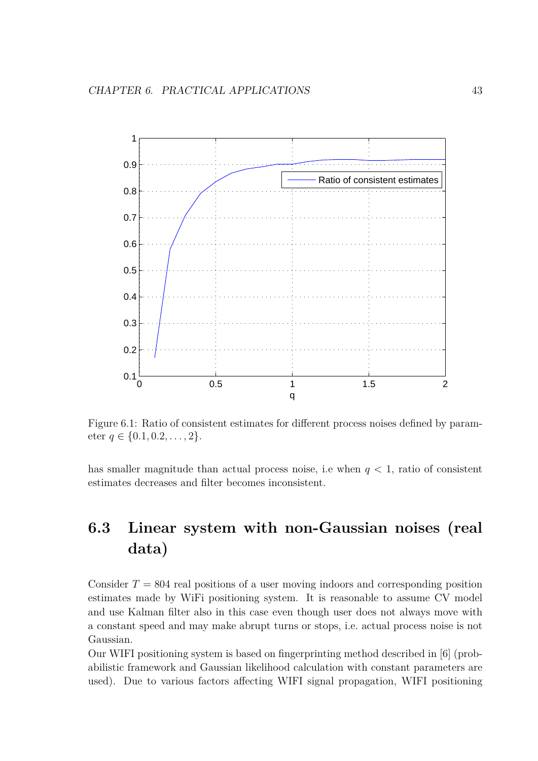

Figure 6.1: Ratio of consistent estimates for different process noises defined by parameter *q ∈ {*0*.*1*,* 0*.*2*, . . . ,* 2*}*.

has smaller magnitude than actual process noise, i.e when  $q < 1$ , ratio of consistent estimates decreases and filter becomes inconsistent.

## **6.3 Linear system with non-Gaussian noises (real data)**

Consider  $T = 804$  real positions of a user moving indoors and corresponding position estimates made by WiFi positioning system. It is reasonable to assume CV model and use Kalman filter also in this case even though user does not always move with a constant speed and may make abrupt turns or stops, i.e. actual process noise is not Gaussian.

Our WIFI positioning system is based on fingerprinting method described in [6] (probabilistic framework and Gaussian likelihood calculation with constant parameters are used). Due to various factors affecting WIFI signal propagation, WIFI positioning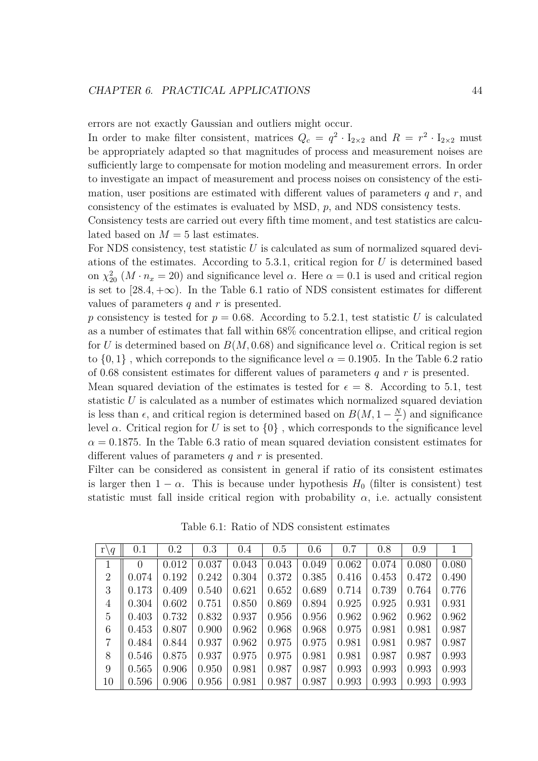errors are not exactly Gaussian and outliers might occur.

In order to make filter consistent, matrices  $Q_c = q^2 \cdot I_{2 \times 2}$  and  $R = r^2 \cdot I_{2 \times 2}$  must be appropriately adapted so that magnitudes of process and measurement noises are sufficiently large to compensate for motion modeling and measurement errors. In order to investigate an impact of measurement and process noises on consistency of the estimation, user positions are estimated with different values of parameters *q* and *r*, and consistency of the estimates is evaluated by MSD, *p*, and NDS consistency tests.

Consistency tests are carried out every fifth time moment, and test statistics are calculated based on  $M = 5$  last estimates.

For NDS consistency, test statistic *U* is calculated as sum of normalized squared deviations of the estimates. According to 5.3.1, critical region for *U* is determined based on  $\chi^2_{20}$  ( $M \cdot n_x = 20$ ) and significance level  $\alpha$ . Here  $\alpha = 0.1$  is used and critical region is set to  $[28.4, +\infty)$ . In the Table 6.1 ratio of NDS consistent estimates for different values of parameters *q* and *r* is presented.

*p* consistency is tested for  $p = 0.68$ . According to 5.2.1, test statistic *U* is calculated as a number of estimates that fall within 68% concentration ellipse, and critical region for *U* is determined based on  $B(M, 0.68)$  and significance level  $\alpha$ . Critical region is set to  $\{0,1\}$ , which correponds to the significance level  $\alpha = 0.1905$ . In the Table 6.2 ratio of 0*.*68 consistent estimates for different values of parameters *q* and *r* is presented.

Mean squared deviation of the estimates is tested for  $\epsilon = 8$ . According to 5.1, test statistic *U* is calculated as a number of estimates which normalized squared deviation is less than  $\epsilon$ , and critical region is determined based on  $B(M, 1 - \frac{N}{\epsilon})$  $\frac{N}{\epsilon}$ ) and significance level *α*. Critical region for *U* is set to *{*0*}* , which corresponds to the significance level  $\alpha = 0.1875$ . In the Table 6.3 ratio of mean squared deviation consistent estimates for different values of parameters *q* and *r* is presented.

Filter can be considered as consistent in general if ratio of its consistent estimates is larger then  $1 - \alpha$ . This is because under hypothesis  $H_0$  (filter is consistent) test statistic must fall inside critical region with probability  $\alpha$ , i.e. actually consistent

| $r \backslash q$ | 0.1      | 0.2   | 0.3   | 0.4   | 0.5   | 0.6   | 0.7   | 0.8   | 0.9   |       |
|------------------|----------|-------|-------|-------|-------|-------|-------|-------|-------|-------|
| $\mathbf{1}$     | $\Omega$ | 0.012 | 0.037 | 0.043 | 0.043 | 0.049 | 0.062 | 0.074 | 0.080 | 0.080 |
| $\overline{2}$   | 0.074    | 0.192 | 0.242 | 0.304 | 0.372 | 0.385 | 0.416 | 0.453 | 0.472 | 0.490 |
| 3                | 0.173    | 0.409 | 0.540 | 0.621 | 0.652 | 0.689 | 0.714 | 0.739 | 0.764 | 0.776 |
| $\overline{4}$   | 0.304    | 0.602 | 0.751 | 0.850 | 0.869 | 0.894 | 0.925 | 0.925 | 0.931 | 0.931 |
| $\overline{5}$   | 0.403    | 0.732 | 0.832 | 0.937 | 0.956 | 0.956 | 0.962 | 0.962 | 0.962 | 0.962 |
| 6                | 0.453    | 0.807 | 0.900 | 0.962 | 0.968 | 0.968 | 0.975 | 0.981 | 0.981 | 0.987 |
| $\overline{7}$   | 0.484    | 0.844 | 0.937 | 0.962 | 0.975 | 0.975 | 0.981 | 0.981 | 0.987 | 0.987 |
| 8                | 0.546    | 0.875 | 0.937 | 0.975 | 0.975 | 0.981 | 0.981 | 0.987 | 0.987 | 0.993 |
| 9                | 0.565    | 0.906 | 0.950 | 0.981 | 0.987 | 0.987 | 0.993 | 0.993 | 0.993 | 0.993 |
| 10               | 0.596    | 0.906 | 0.956 | 0.981 | 0.987 | 0.987 | 0.993 | 0.993 | 0.993 | 0.993 |

Table 6.1: Ratio of NDS consistent estimates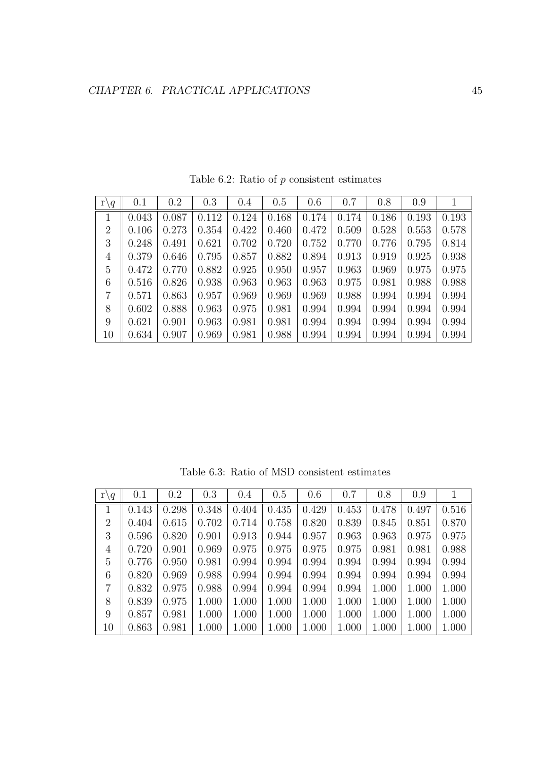| r'<br>$\setminus q$ | 0.1   | 0.2   | 0.3   | 0.4   | 0.5   | 0.6   | 0.7   | 0.8   | 0.9   |       |
|---------------------|-------|-------|-------|-------|-------|-------|-------|-------|-------|-------|
|                     | 0.043 | 0.087 | 0.112 | 0.124 | 0.168 | 0.174 | 0.174 | 0.186 | 0.193 | 0.193 |
| $\overline{2}$      | 0.106 | 0.273 | 0.354 | 0.422 | 0.460 | 0.472 | 0.509 | 0.528 | 0.553 | 0.578 |
| 3                   | 0.248 | 0.491 | 0.621 | 0.702 | 0.720 | 0.752 | 0.770 | 0.776 | 0.795 | 0.814 |
| 4                   | 0.379 | 0.646 | 0.795 | 0.857 | 0.882 | 0.894 | 0.913 | 0.919 | 0.925 | 0.938 |
| 5                   | 0.472 | 0.770 | 0.882 | 0.925 | 0.950 | 0.957 | 0.963 | 0.969 | 0.975 | 0.975 |
| 6                   | 0.516 | 0.826 | 0.938 | 0.963 | 0.963 | 0.963 | 0.975 | 0.981 | 0.988 | 0.988 |
| $\overline{7}$      | 0.571 | 0.863 | 0.957 | 0.969 | 0.969 | 0.969 | 0.988 | 0.994 | 0.994 | 0.994 |
| 8                   | 0.602 | 0.888 | 0.963 | 0.975 | 0.981 | 0.994 | 0.994 | 0.994 | 0.994 | 0.994 |
| 9                   | 0.621 | 0.901 | 0.963 | 0.981 | 0.981 | 0.994 | 0.994 | 0.994 | 0.994 | 0.994 |
| 10                  | 0.634 | 0.907 | 0.969 | 0.981 | 0.988 | 0.994 | 0.994 | 0.994 | 0.994 | 0.994 |

Table 6.2: Ratio of *p* consistent estimates

Table 6.3: Ratio of MSD consistent estimates

| $r \backslash q$ | 0.1   | 0.2   | 0.3   | 0.4   | 0.5   | 0.6   | 0.7   | 0.8   | 0.9   | 1     |
|------------------|-------|-------|-------|-------|-------|-------|-------|-------|-------|-------|
|                  | 0.143 | 0.298 | 0.348 | 0.404 | 0.435 | 0.429 | 0.453 | 0.478 | 0.497 | 0.516 |
| $\overline{2}$   | 0.404 | 0.615 | 0.702 | 0.714 | 0.758 | 0.820 | 0.839 | 0.845 | 0.851 | 0.870 |
| 3                | 0.596 | 0.820 | 0.901 | 0.913 | 0.944 | 0.957 | 0.963 | 0.963 | 0.975 | 0.975 |
| $\overline{4}$   | 0.720 | 0.901 | 0.969 | 0.975 | 0.975 | 0.975 | 0.975 | 0.981 | 0.981 | 0.988 |
| 5                | 0.776 | 0.950 | 0.981 | 0.994 | 0.994 | 0.994 | 0.994 | 0.994 | 0.994 | 0.994 |
| 6                | 0.820 | 0.969 | 0.988 | 0.994 | 0.994 | 0.994 | 0.994 | 0.994 | 0.994 | 0.994 |
| $\overline{7}$   | 0.832 | 0.975 | 0.988 | 0.994 | 0.994 | 0.994 | 0.994 | 1.000 | 1.000 | 1.000 |
| 8                | 0.839 | 0.975 | 1.000 | 1.000 | 1.000 | 1.000 | 1.000 | 1.000 | 1.000 | 1.000 |
| 9                | 0.857 | 0.981 | 1.000 | 1.000 | 1.000 | 1.000 | 1.000 | 1.000 | 1.000 | 1.000 |
| 10               | 0.863 | 0.981 | 1.000 | 1.000 | 1.000 | 1.000 | 1.000 | 1.000 | 1.000 | 1.000 |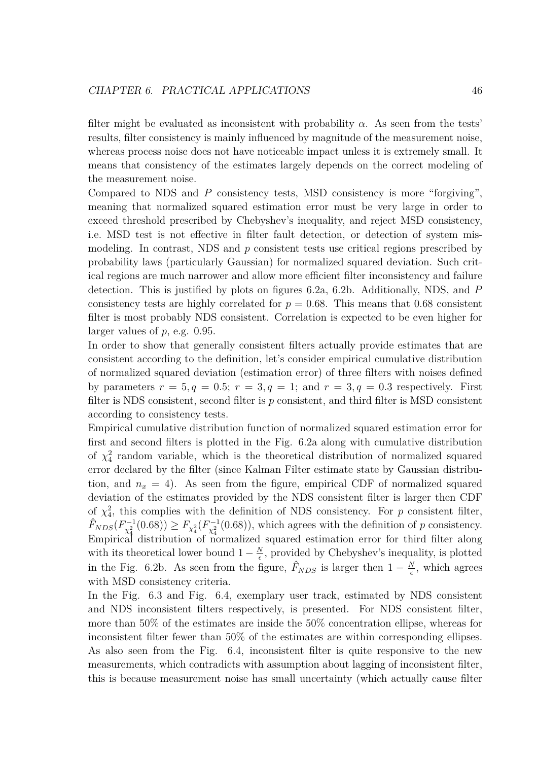filter might be evaluated as inconsistent with probability  $\alpha$ . As seen from the tests' results, filter consistency is mainly influenced by magnitude of the measurement noise, whereas process noise does not have noticeable impact unless it is extremely small. It means that consistency of the estimates largely depends on the correct modeling of the measurement noise.

Compared to NDS and *P* consistency tests, MSD consistency is more "forgiving", meaning that normalized squared estimation error must be very large in order to exceed threshold prescribed by Chebyshev's inequality, and reject MSD consistency, i.e. MSD test is not effective in filter fault detection, or detection of system mismodeling. In contrast, NDS and *p* consistent tests use critical regions prescribed by probability laws (particularly Gaussian) for normalized squared deviation. Such critical regions are much narrower and allow more efficient filter inconsistency and failure detection. This is justified by plots on figures 6.2a, 6.2b. Additionally, NDS, and *P* consistency tests are highly correlated for  $p = 0.68$ . This means that 0.68 consistent filter is most probably NDS consistent. Correlation is expected to be even higher for larger values of *p*, e.g. 0.95.

In order to show that generally consistent filters actually provide estimates that are consistent according to the definition, let's consider empirical cumulative distribution of normalized squared deviation (estimation error) of three filters with noises defined by parameters  $r = 5, q = 0.5; r = 3, q = 1;$  and  $r = 3, q = 0.3$  respectively. First filter is NDS consistent, second filter is *p* consistent, and third filter is MSD consistent according to consistency tests.

Empirical cumulative distribution function of normalized squared estimation error for first and second filters is plotted in the Fig. 6.2a along with cumulative distribution of  $\chi^2$  random variable, which is the theoretical distribution of normalized squared error declared by the filter (since Kalman Filter estimate state by Gaussian distribution, and  $n_x = 4$ ). As seen from the figure, empirical CDF of normalized squared deviation of the estimates provided by the NDS consistent filter is larger then CDF of  $\chi^2$ , this complies with the definition of NDS consistency. For *p* consistent filter,  $\hat{F}_{NDS}(F_{\chi^2_4}^{-1}(0.68)) \ge F_{\chi^2_4}(F_{\chi^2_4}^{-1}(0.68))$ , which agrees with the definition of *p* consistency. Empirical distribution of normalized squared estimation error for third filter along with its theoretical lower bound  $1 - \frac{N}{\epsilon}$  $\frac{N}{\epsilon}$ , provided by Chebyshev's inequality, is plotted in the Fig. 6.2b. As seen from the figure,  $\hat{F}_{NDS}$  is larger then  $1 - \frac{N}{\epsilon}$  $\frac{N}{\epsilon}$ , which agrees with MSD consistency criteria.

In the Fig. 6.3 and Fig. 6.4, exemplary user track, estimated by NDS consistent and NDS inconsistent filters respectively, is presented. For NDS consistent filter, more than 50% of the estimates are inside the 50% concentration ellipse, whereas for inconsistent filter fewer than 50% of the estimates are within corresponding ellipses. As also seen from the Fig. 6.4, inconsistent filter is quite responsive to the new measurements, which contradicts with assumption about lagging of inconsistent filter, this is because measurement noise has small uncertainty (which actually cause filter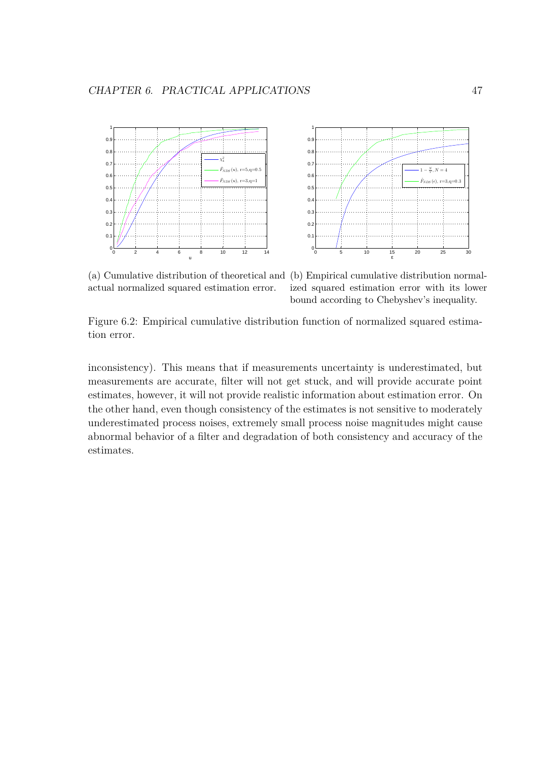



actual normalized squared estimation error.

(a) Cumulative distribution of theoretical and (b) Empirical cumulative distribution normalized squared estimation error with its lower bound according to Chebyshev's inequality.

Figure 6.2: Empirical cumulative distribution function of normalized squared estimation error.

inconsistency). This means that if measurements uncertainty is underestimated, but measurements are accurate, filter will not get stuck, and will provide accurate point estimates, however, it will not provide realistic information about estimation error. On the other hand, even though consistency of the estimates is not sensitive to moderately underestimated process noises, extremely small process noise magnitudes might cause abnormal behavior of a filter and degradation of both consistency and accuracy of the estimates.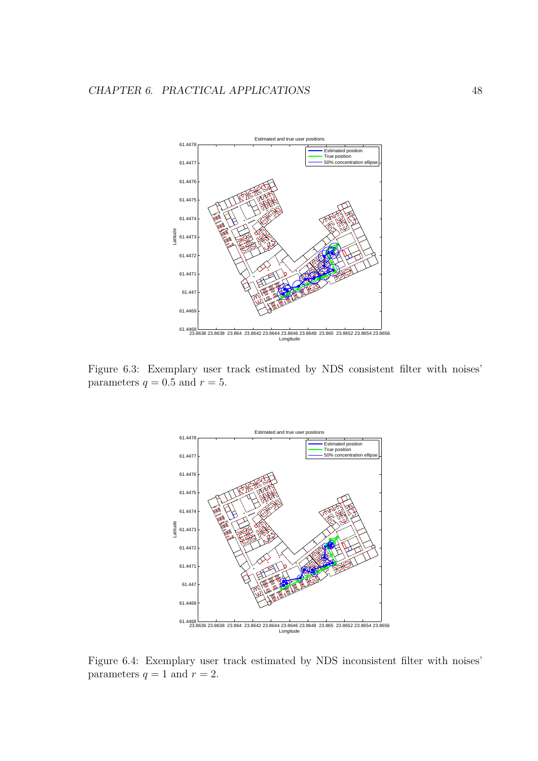

Figure 6.3: Exemplary user track estimated by NDS consistent filter with noises' parameters  $q = 0.5$  and  $r = 5$ .



Figure 6.4: Exemplary user track estimated by NDS inconsistent filter with noises' parameters  $q = 1$  and  $r = 2$ .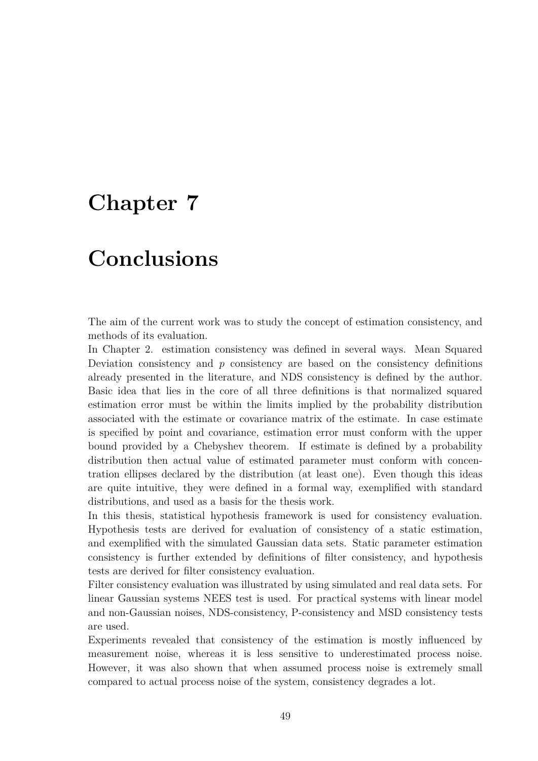## **Chapter 7**

## **Conclusions**

The aim of the current work was to study the concept of estimation consistency, and methods of its evaluation.

In Chapter 2. estimation consistency was defined in several ways. Mean Squared Deviation consistency and *p* consistency are based on the consistency definitions already presented in the literature, and NDS consistency is defined by the author. Basic idea that lies in the core of all three definitions is that normalized squared estimation error must be within the limits implied by the probability distribution associated with the estimate or covariance matrix of the estimate. In case estimate is specified by point and covariance, estimation error must conform with the upper bound provided by a Chebyshev theorem. If estimate is defined by a probability distribution then actual value of estimated parameter must conform with concentration ellipses declared by the distribution (at least one). Even though this ideas are quite intuitive, they were defined in a formal way, exemplified with standard distributions, and used as a basis for the thesis work.

In this thesis, statistical hypothesis framework is used for consistency evaluation. Hypothesis tests are derived for evaluation of consistency of a static estimation, and exemplified with the simulated Gaussian data sets. Static parameter estimation consistency is further extended by definitions of filter consistency, and hypothesis tests are derived for filter consistency evaluation.

Filter consistency evaluation was illustrated by using simulated and real data sets. For linear Gaussian systems NEES test is used. For practical systems with linear model and non-Gaussian noises, NDS-consistency, P-consistency and MSD consistency tests are used.

Experiments revealed that consistency of the estimation is mostly influenced by measurement noise, whereas it is less sensitive to underestimated process noise. However, it was also shown that when assumed process noise is extremely small compared to actual process noise of the system, consistency degrades a lot.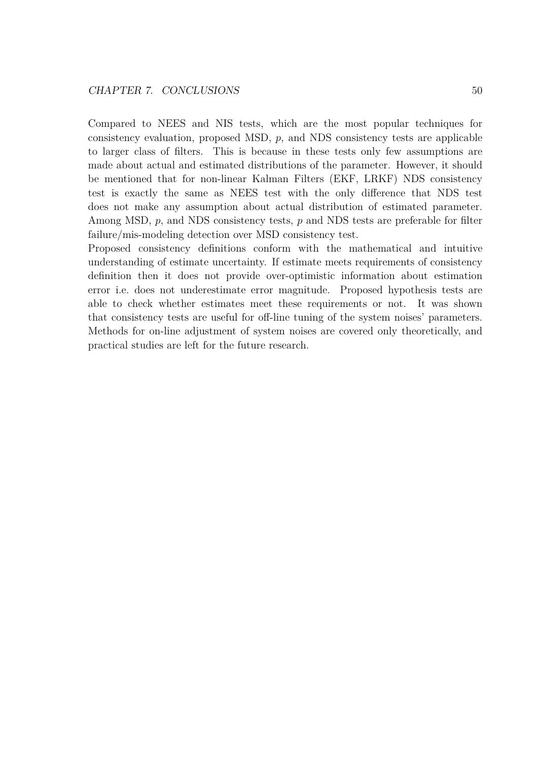Compared to NEES and NIS tests, which are the most popular techniques for consistency evaluation, proposed MSD, *p*, and NDS consistency tests are applicable to larger class of filters. This is because in these tests only few assumptions are made about actual and estimated distributions of the parameter. However, it should be mentioned that for non-linear Kalman Filters (EKF, LRKF) NDS consistency test is exactly the same as NEES test with the only difference that NDS test does not make any assumption about actual distribution of estimated parameter. Among MSD, *p*, and NDS consistency tests, *p* and NDS tests are preferable for filter failure/mis-modeling detection over MSD consistency test.

Proposed consistency definitions conform with the mathematical and intuitive understanding of estimate uncertainty. If estimate meets requirements of consistency definition then it does not provide over-optimistic information about estimation error i.e. does not underestimate error magnitude. Proposed hypothesis tests are able to check whether estimates meet these requirements or not. It was shown that consistency tests are useful for off-line tuning of the system noises' parameters. Methods for on-line adjustment of system noises are covered only theoretically, and practical studies are left for the future research.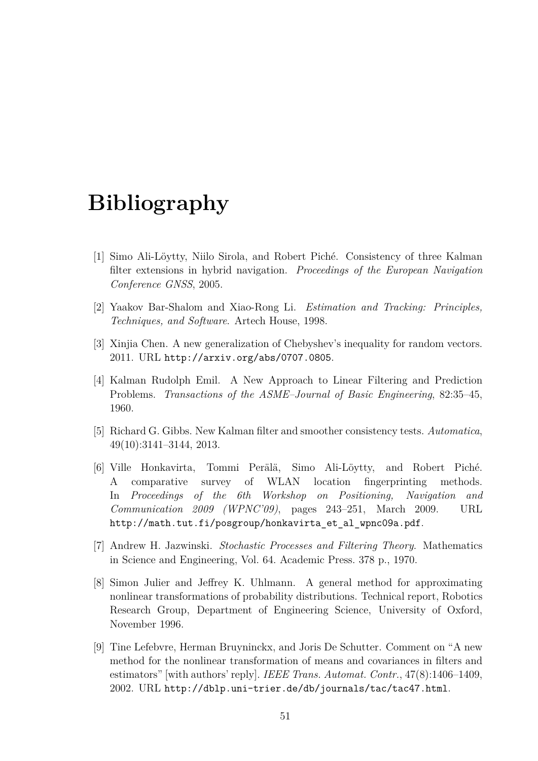## **Bibliography**

- [1] Simo Ali-Löytty, Niilo Sirola, and Robert Piché. Consistency of three Kalman filter extensions in hybrid navigation. *Proceedings of the European Navigation Conference GNSS*, 2005.
- [2] Yaakov Bar-Shalom and Xiao-Rong Li. *Estimation and Tracking: Principles, Techniques, and Software*. Artech House, 1998.
- [3] Xinjia Chen. A new generalization of Chebyshev's inequality for random vectors. 2011. URL http://arxiv.org/abs/0707.0805.
- [4] Kalman Rudolph Emil. A New Approach to Linear Filtering and Prediction Problems. *Transactions of the ASME–Journal of Basic Engineering*, 82:35–45, 1960.
- [5] Richard G. Gibbs. New Kalman filter and smoother consistency tests. *Automatica*, 49(10):3141–3144, 2013.
- [6] Ville Honkavirta, Tommi Perälä, Simo Ali-Löytty, and Robert Piché. A comparative survey of WLAN location fingerprinting methods. In *Proceedings of the 6th Workshop on Positioning, Navigation and Communication 2009 (WPNC'09)*, pages 243–251, March 2009. URL http://math.tut.fi/posgroup/honkavirta et al wpnc09a.pdf.
- [7] Andrew H. Jazwinski. *Stochastic Processes and Filtering Theory*. Mathematics in Science and Engineering, Vol. 64. Academic Press. 378 p., 1970.
- [8] Simon Julier and Jeffrey K. Uhlmann. A general method for approximating nonlinear transformations of probability distributions. Technical report, Robotics Research Group, Department of Engineering Science, University of Oxford, November 1996.
- [9] Tine Lefebvre, Herman Bruyninckx, and Joris De Schutter. Comment on "A new method for the nonlinear transformation of means and covariances in filters and estimators" [with authors' reply]. *IEEE Trans. Automat. Contr.*, 47(8):1406–1409, 2002. URL http://dblp.uni-trier.de/db/journals/tac/tac47.html.